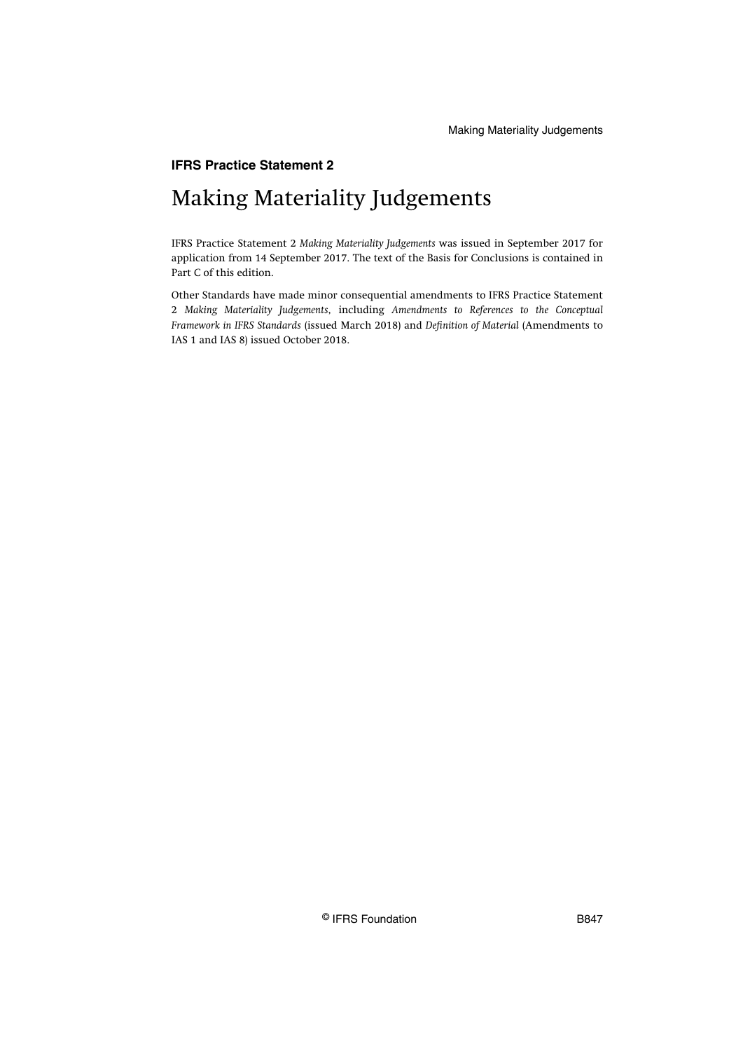# **IFRS Practice Statement 2**

# Making Materiality Judgements

IFRS Practice Statement 2 *Making Materiality Judgements* was issued in September 2017 for application from 14 September 2017. The text of the Basis for Conclusions is contained in Part C of this edition.

Other Standards have made minor consequential amendments to IFRS Practice Statement 2 *Making Materiality Judgements*, including *Amendments to References to the Conceptual Framework in IFRS Standards* (issued March 2018) and *Definition of Material* (Amendments to IAS 1 and IAS 8) issued October 2018.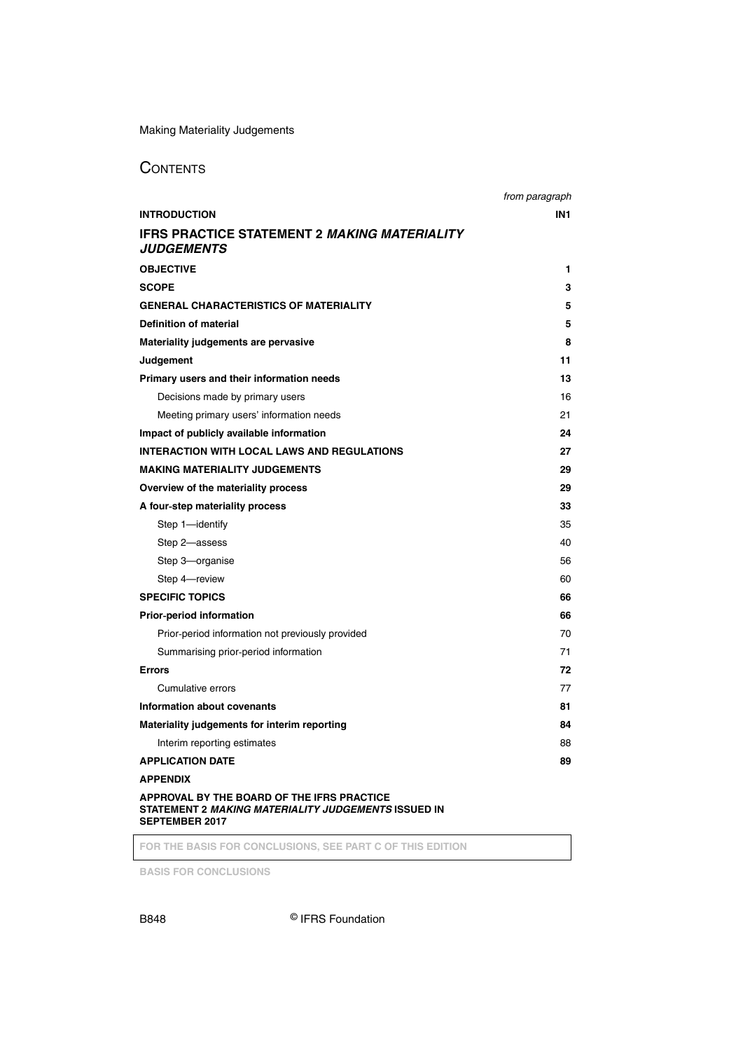**CONTENTS** 

|                                                                                 | from paragraph  |
|---------------------------------------------------------------------------------|-----------------|
| <b>INTRODUCTION</b>                                                             | IN <sub>1</sub> |
| <b>IFRS PRACTICE STATEMENT 2 MAKING MATERIALITY</b><br><i><b>JUDGEMENTS</b></i> |                 |
| <b>OBJECTIVE</b>                                                                | 1               |
| <b>SCOPE</b>                                                                    | 3               |
| <b>GENERAL CHARACTERISTICS OF MATERIALITY</b>                                   | 5               |
| <b>Definition of material</b>                                                   | 5               |
| Materiality judgements are pervasive                                            | 8               |
| Judgement                                                                       | 11              |
| Primary users and their information needs                                       | 13              |
| Decisions made by primary users                                                 | 16              |
| Meeting primary users' information needs                                        | 21              |
| Impact of publicly available information                                        | 24              |
| <b>INTERACTION WITH LOCAL LAWS AND REGULATIONS</b>                              | 27              |
| <b>MAKING MATERIALITY JUDGEMENTS</b>                                            | 29              |
| Overview of the materiality process                                             | 29              |
| A four-step materiality process                                                 | 33              |
| Step 1-identify                                                                 | 35              |
| Step 2-assess                                                                   | 40              |
| Step 3-organise                                                                 | 56              |
| Step 4-review                                                                   | 60              |
| <b>SPECIFIC TOPICS</b>                                                          | 66              |
| <b>Prior-period information</b>                                                 | 66              |
| Prior-period information not previously provided                                | 70              |
| Summarising prior-period information                                            | 71              |
| <b>Errors</b>                                                                   | 72              |
| Cumulative errors                                                               | 77              |
| Information about covenants                                                     | 81              |
| Materiality judgements for interim reporting                                    | 84              |
| Interim reporting estimates                                                     | 88              |
| <b>APPLICATION DATE</b>                                                         | 89              |
| <b>APPENDIX</b>                                                                 |                 |
| APPROVAL BY THE BOARD OF THE IFRS PRACTICE                                      |                 |

# **STATEMENT 2 [MAKING MATERIALITY JUDGEMENTS](#page-43-0) ISSUED IN [SEPTEMBER 2017](#page-43-0)**

**FOR THE BASIS FOR CONCLUSIONS, SEE PART C OF THIS EDITION**

**BASIS FOR CONCLUSIONS**

B848 **CONSTRUSS CONSTRUSS CONSTRUSS CONSTRUSS**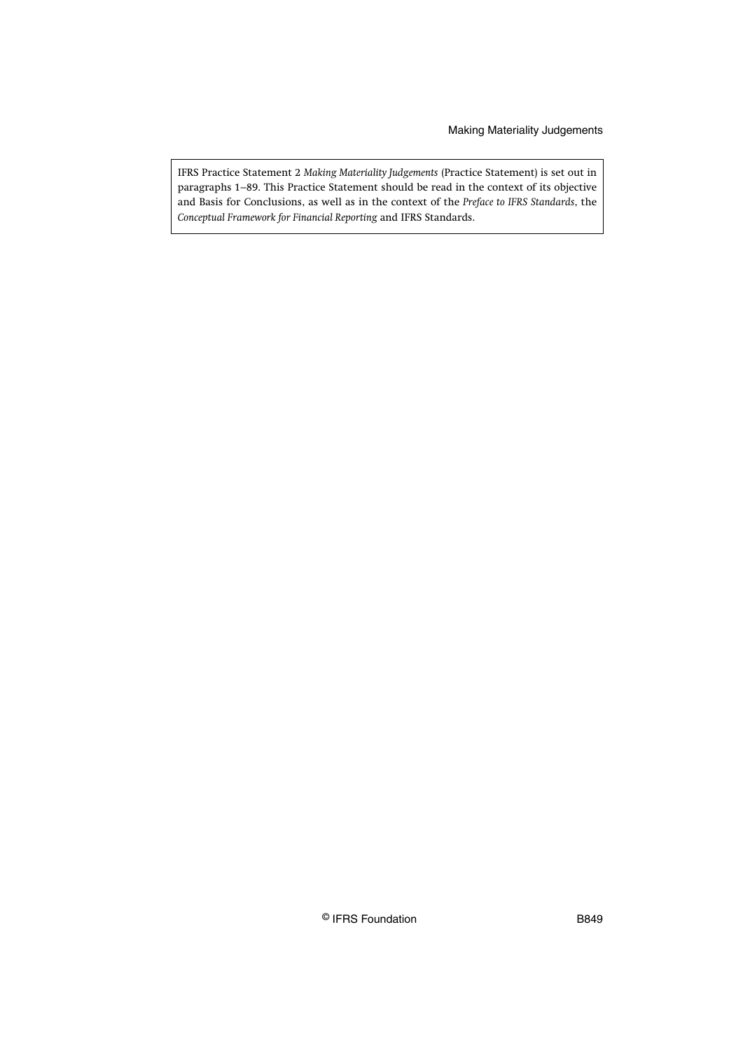IFRS Practice Statement 2 *Making Materiality Judgements* (Practice Statement) is set out in paragraphs 1–89. This Practice Statement should be read in the context of its objective and Basis for Conclusions, as well as in the context of the *Preface to IFRS Standards*, the *Conceptual Framework for Financial Reporting* and IFRS Standards.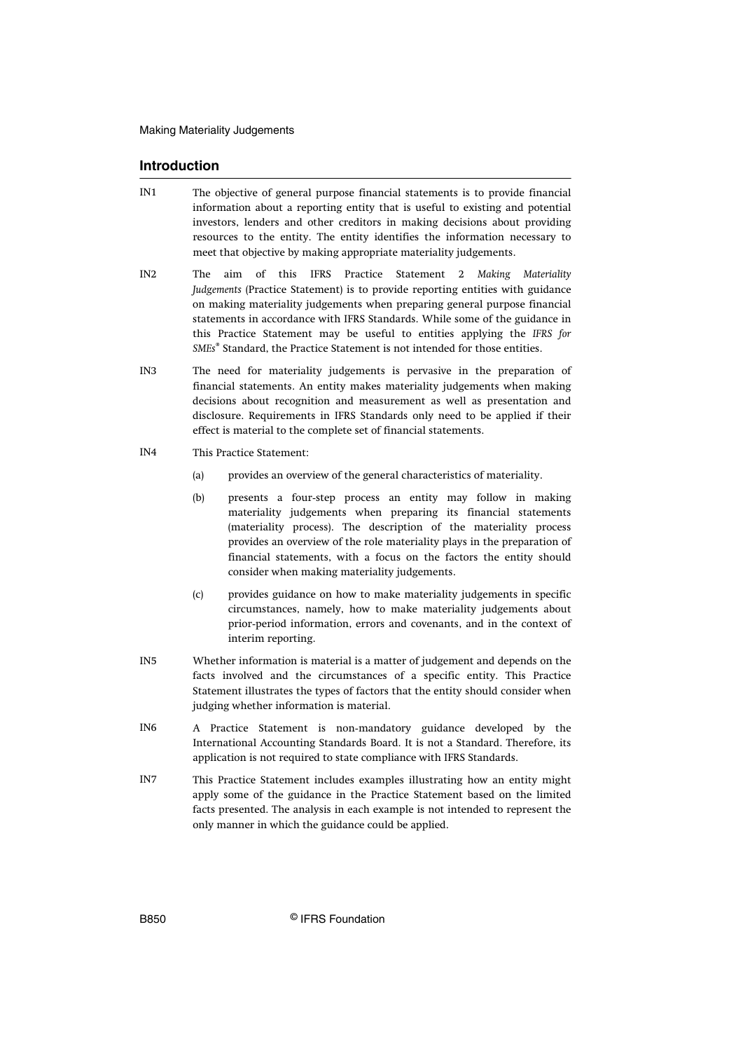# <span id="page-3-0"></span>**Introduction**

- The objective of general purpose financial statements is to provide financial information about a reporting entity that is useful to existing and potential investors, lenders and other creditors in making decisions about providing resources to the entity. The entity identifies the information necessary to meet that objective by making appropriate materiality judgements. IN1
- The aim of this IFRS Practice Statement 2 *Making Materiality Judgements* (Practice Statement) is to provide reporting entities with guidance on making materiality judgements when preparing general purpose financial statements in accordance with IFRS Standards. While some of the guidance in this Practice Statement may be useful to entities applying the *IFRS for SMEs*® Standard, the Practice Statement is not intended for those entities. IN2
- The need for materiality judgements is pervasive in the preparation of financial statements. An entity makes materiality judgements when making decisions about recognition and measurement as well as presentation and disclosure. Requirements in IFRS Standards only need to be applied if their effect is material to the complete set of financial statements. IN3
- This Practice Statement: IN4
	- (a) provides an overview of the general characteristics of materiality.
	- (b) presents a four‑step process an entity may follow in making materiality judgements when preparing its financial statements (materiality process). The description of the materiality process provides an overview of the role materiality plays in the preparation of financial statements, with a focus on the factors the entity should consider when making materiality judgements.
	- (c) provides guidance on how to make materiality judgements in specific circumstances, namely, how to make materiality judgements about prior‑period information, errors and covenants, and in the context of interim reporting.
- Whether information is material is a matter of judgement and depends on the facts involved and the circumstances of a specific entity. This Practice Statement illustrates the types of factors that the entity should consider when judging whether information is material. IN5
- A Practice Statement is non‑mandatory guidance developed by the International Accounting Standards Board. It is not a Standard. Therefore, its application is not required to state compliance with IFRS Standards. IN6
- This Practice Statement includes examples illustrating how an entity might apply some of the guidance in the Practice Statement based on the limited facts presented. The analysis in each example is not intended to represent the only manner in which the guidance could be applied. IN7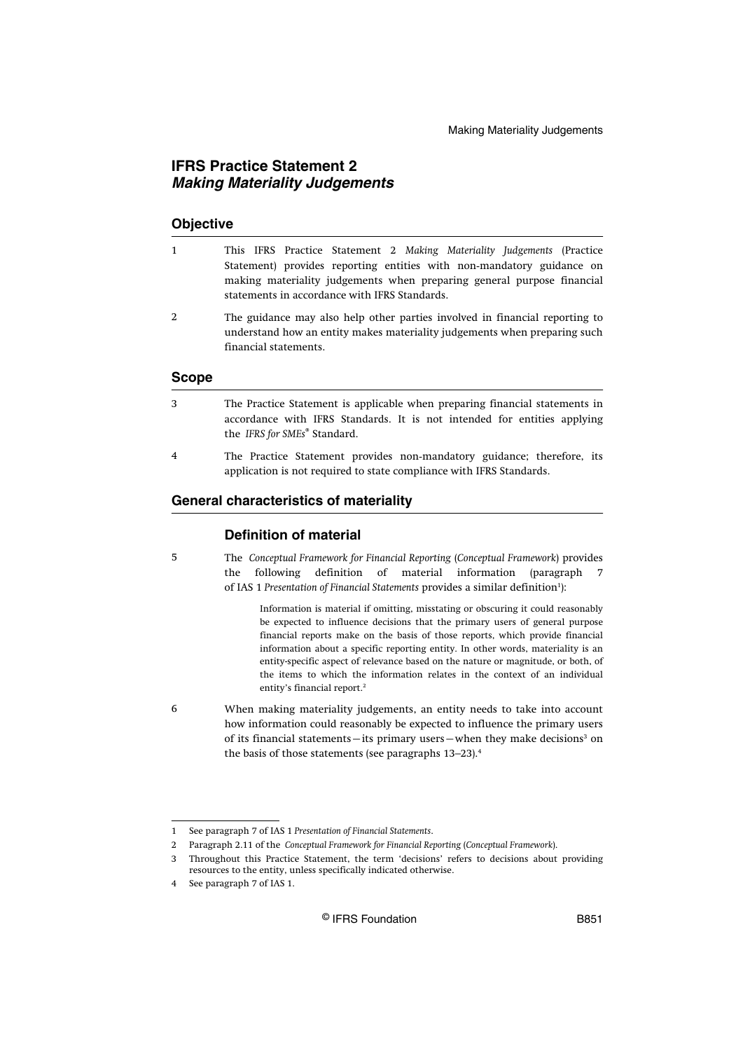# <span id="page-4-0"></span>**IFRS Practice Statement 2 Making Materiality Judgements**

# **Objective**

- This IFRS Practice Statement 2 *Making Materiality Judgements* (Practice Statement) provides reporting entities with non‑mandatory guidance on making materiality judgements when preparing general purpose financial statements in accordance with IFRS Standards. 1
- The guidance may also help other parties involved in financial reporting to understand how an entity makes materiality judgements when preparing such financial statements. 2

### **Scope**

5

- The Practice Statement is applicable when preparing financial statements in accordance with IFRS Standards. It is not intended for entities applying the *IFRS for SMEs*® Standard. 3
- The Practice Statement provides non-mandatory guidance; therefore, its application is not required to state compliance with IFRS Standards. 4

# **General characteristics of materiality**

# **Definition of material**

The *Conceptual Framework for Financial Reporting* (*Conceptual Framework*) provides the following definition of material information (paragraph 7 of IAS 1 Presentation of Financial Statements provides a similar definition<sup>1</sup>):

> Information is material if omitting, misstating or obscuring it could reasonably be expected to influence decisions that the primary users of general purpose financial reports make on the basis of those reports, which provide financial information about a specific reporting entity. In other words, materiality is an entity-specific aspect of relevance based on the nature or magnitude, or both, of the items to which the information relates in the context of an individual entity's financial report.<sup>2</sup>

When making materiality judgements, an entity needs to take into account how information could reasonably be expected to influence the primary users of its financial statements—its primary users—when they make decisions<sup>3</sup> on the basis of those statements (see [paragraphs 13–23\)](#page-8-0).<sup>4</sup> 6

© IFRS Foundation B851

<sup>1</sup> See paragraph 7 of IAS 1 *Presentation of Financial Statements*.

<sup>2</sup> Paragraph 2.11 of the *Conceptual Framework for Financial Reporting* (*Conceptual Framework*).

<sup>3</sup> Throughout this Practice Statement, the term 'decisions' refers to decisions about providing resources to the entity, unless specifically indicated otherwise.

<sup>4</sup> See paragraph 7 of IAS 1.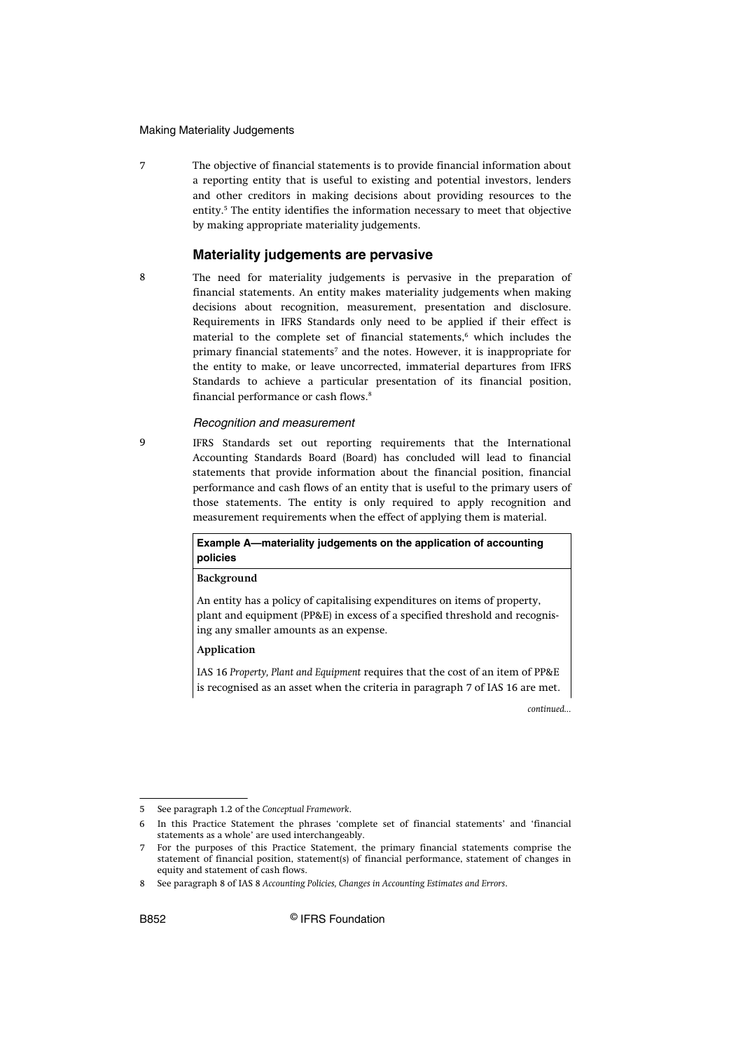<span id="page-5-0"></span>The objective of financial statements is to provide financial information about a reporting entity that is useful to existing and potential investors, lenders and other creditors in making decisions about providing resources to the entity.<sup>5</sup> The entity identifies the information necessary to meet that objective by making appropriate materiality judgements. 7

# **Materiality judgements are pervasive**

The need for materiality judgements is pervasive in the preparation of financial statements. An entity makes materiality judgements when making decisions about recognition, measurement, presentation and disclosure. Requirements in IFRS Standards only need to be applied if their effect is material to the complete set of financial statements,<sup>6</sup> which includes the primary financial statements<sup>7</sup> and the notes. However, it is inappropriate for the entity to make, or leave uncorrected, immaterial departures from IFRS Standards to achieve a particular presentation of its financial position, financial performance or cash flows.<sup>8</sup> 8

#### Recognition and measurement

9

IFRS Standards set out reporting requirements that the International Accounting Standards Board (Board) has concluded will lead to financial statements that provide information about the financial position, financial performance and cash flows of an entity that is useful to the primary users of those statements. The entity is only required to apply recognition and measurement requirements when the effect of applying them is material.

| Example A—materiality judgements on the application of accounting<br>policies                                                                                                                      |
|----------------------------------------------------------------------------------------------------------------------------------------------------------------------------------------------------|
| Background                                                                                                                                                                                         |
| An entity has a policy of capitalising expenditures on items of property,<br>plant and equipment (PP&E) in excess of a specified threshold and recognis-<br>ing any smaller amounts as an expense. |
| Application                                                                                                                                                                                        |
| IAS 16 Property, Plant and Equipment requires that the cost of an item of PP&E<br>is recognised as an asset when the criteria in paragraph 7 of IAS 16 are met.                                    |
| continued                                                                                                                                                                                          |
|                                                                                                                                                                                                    |
|                                                                                                                                                                                                    |

<sup>5</sup> See paragraph 1.2 of the *Conceptual Framework*.

<sup>6</sup> In this Practice Statement the phrases 'complete set of financial statements' and 'financial statements as a whole' are used interchangeably.

<sup>7</sup> For the purposes of this Practice Statement, the primary financial statements comprise the statement of financial position, statement(s) of financial performance, statement of changes in equity and statement of cash flows.

<sup>8</sup> See paragraph 8 of IAS 8 *Accounting Policies, Changes in Accounting Estimates and Errors*.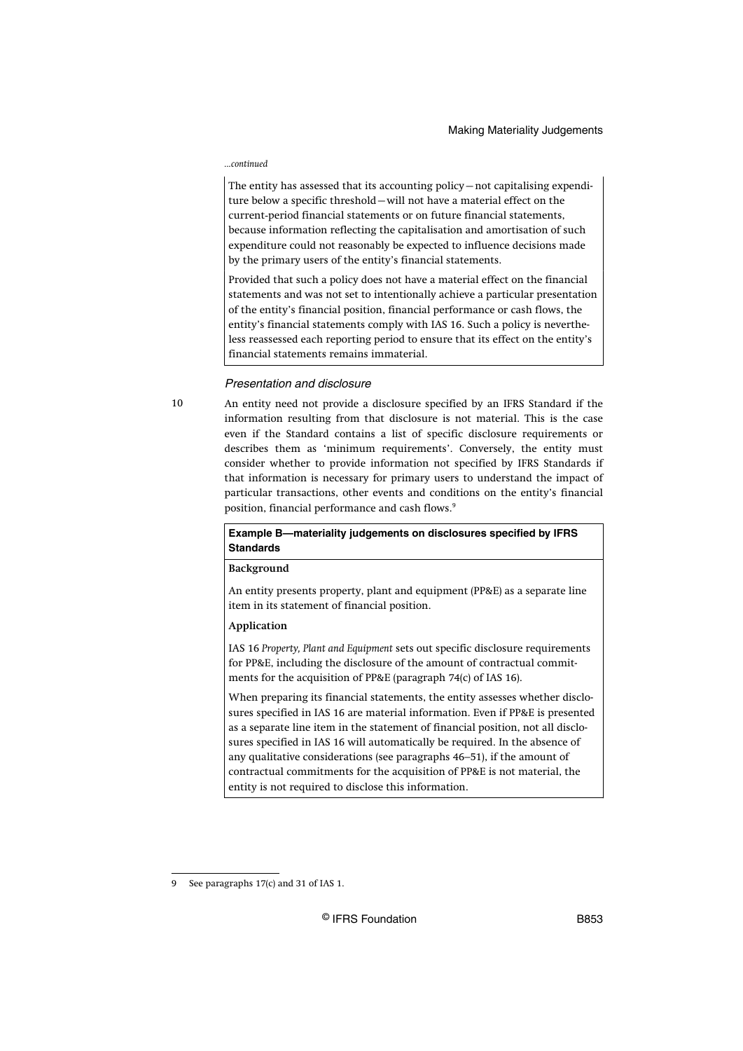#### <span id="page-6-0"></span>*...continued*

The entity has assessed that its accounting policy—not capitalising expenditure below a specific threshold—will not have a material effect on the current‑period financial statements or on future financial statements, because information reflecting the capitalisation and amortisation of such expenditure could not reasonably be expected to influence decisions made by the primary users of the entity's financial statements.

Provided that such a policy does not have a material effect on the financial statements and was not set to intentionally achieve a particular presentation of the entity's financial position, financial performance or cash flows, the entity's financial statements comply with IAS 16. Such a policy is nevertheless reassessed each reporting period to ensure that its effect on the entity's financial statements remains immaterial.

#### Presentation and disclosure

10

An entity need not provide a disclosure specified by an IFRS Standard if the information resulting from that disclosure is not material. This is the case even if the Standard contains a list of specific disclosure requirements or describes them as 'minimum requirements'. Conversely, the entity must consider whether to provide information not specified by IFRS Standards if that information is necessary for primary users to understand the impact of particular transactions, other events and conditions on the entity's financial position, financial performance and cash flows.<sup>9</sup>

# **Example B—materiality judgements on disclosures specified by IFRS Standards**

#### **Background**

An entity presents property, plant and equipment (PP&E) as a separate line item in its statement of financial position.

### **Application**

IAS 16 *Property, Plant and Equipment* sets out specific disclosure requirements for PP&E, including the disclosure of the amount of contractual commitments for the acquisition of PP&E (paragraph 74(c) of IAS 16).

When preparing its financial statements, the entity assesses whether disclosures specified in IAS 16 are material information. Even if PP&E is presented as a separate line item in the statement of financial position, not all disclosures specified in IAS 16 will automatically be required. In the absence of any qualitative considerations (see paragraphs 46–51), if the amount of contractual commitments for the acquisition of PP&E is not material, the entity is not required to disclose this information.

<sup>9</sup> See paragraphs 17(c) and 31 of IAS 1.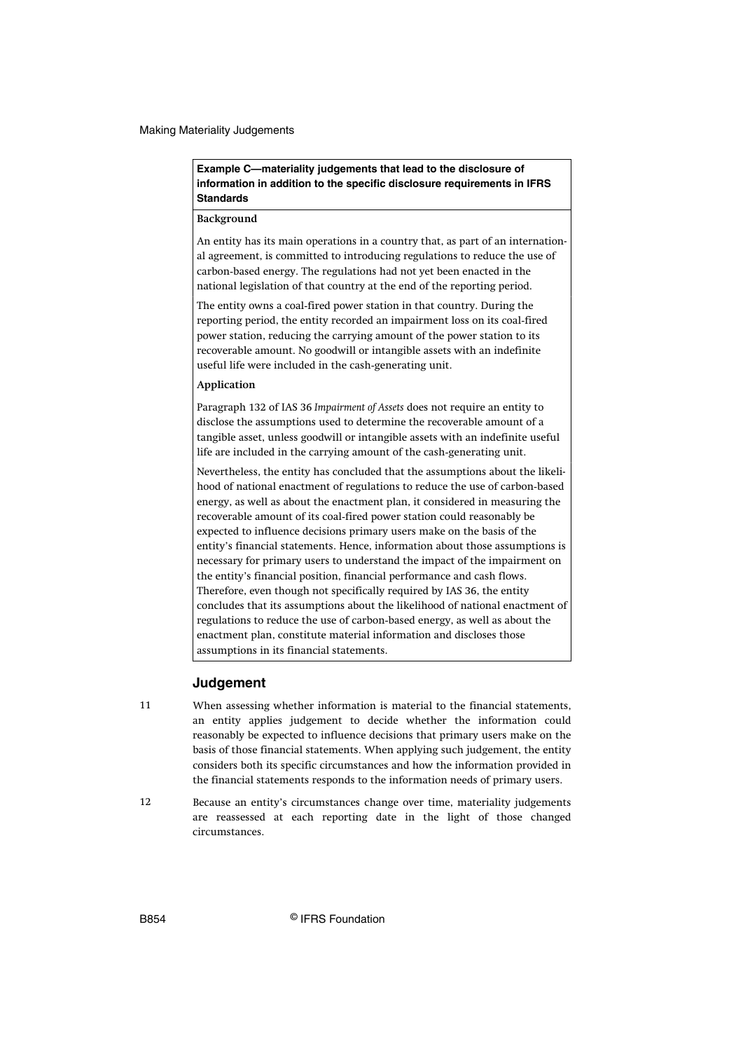<span id="page-7-0"></span>**Example C—materiality judgements that lead to the disclosure of information in addition to the specific disclosure requirements in IFRS Standards**

# **Background**

An entity has its main operations in a country that, as part of an international agreement, is committed to introducing regulations to reduce the use of carbon-based energy. The regulations had not yet been enacted in the national legislation of that country at the end of the reporting period.

The entity owns a coal-fired power station in that country. During the reporting period, the entity recorded an impairment loss on its coal-fired power station, reducing the carrying amount of the power station to its recoverable amount. No goodwill or intangible assets with an indefinite useful life were included in the cash‑generating unit.

#### **Application**

Paragraph 132 of IAS 36 *Impairment of Assets* does not require an entity to disclose the assumptions used to determine the recoverable amount of a tangible asset, unless goodwill or intangible assets with an indefinite useful life are included in the carrying amount of the cash-generating unit.

Nevertheless, the entity has concluded that the assumptions about the likelihood of national enactment of regulations to reduce the use of carbon-based energy, as well as about the enactment plan, it considered in measuring the recoverable amount of its coal-fired power station could reasonably be expected to influence decisions primary users make on the basis of the entity's financial statements. Hence, information about those assumptions is necessary for primary users to understand the impact of the impairment on the entity's financial position, financial performance and cash flows. Therefore, even though not specifically required by IAS 36, the entity concludes that its assumptions about the likelihood of national enactment of regulations to reduce the use of carbon‑based energy, as well as about the enactment plan, constitute material information and discloses those assumptions in its financial statements.

# **Judgement**

11

When assessing whether information is material to the financial statements, an entity applies judgement to decide whether the information could reasonably be expected to influence decisions that primary users make on the basis of those financial statements. When applying such judgement, the entity considers both its specific circumstances and how the information provided in the financial statements responds to the information needs of primary users.

Because an entity's circumstances change over time, materiality judgements are reassessed at each reporting date in the light of those changed circumstances. 12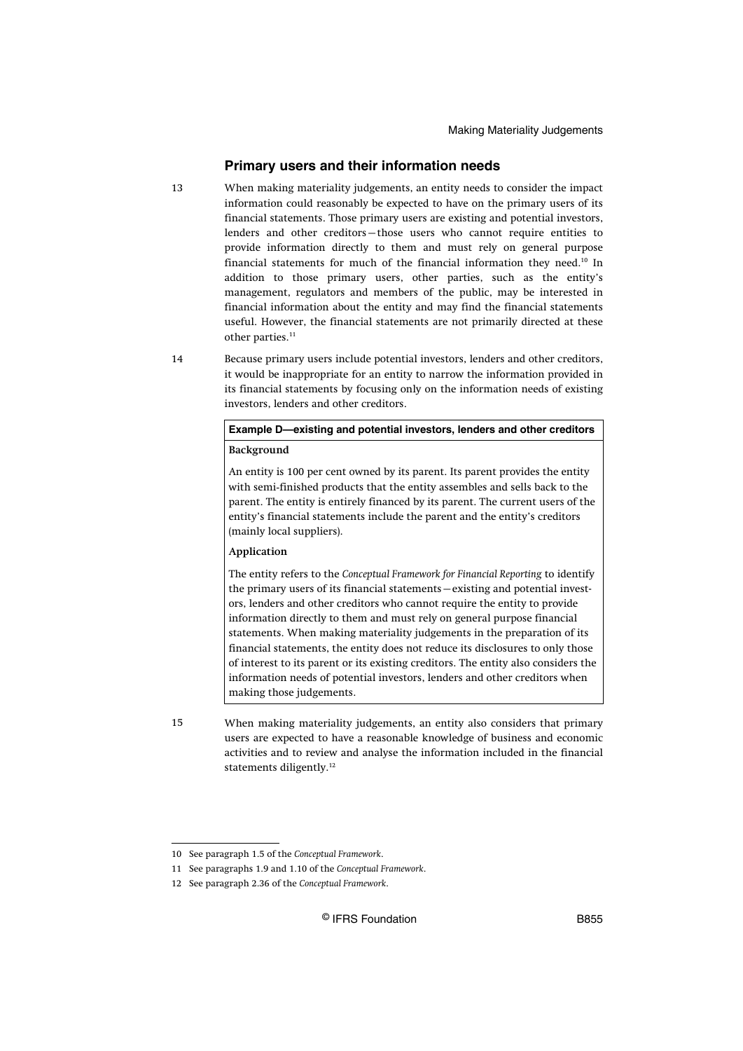# **Primary users and their information needs**

When making materiality judgements, an entity needs to consider the impact information could reasonably be expected to have on the primary users of its financial statements. Those primary users are existing and potential investors, lenders and other creditors—those users who cannot require entities to provide information directly to them and must rely on general purpose financial statements for much of the financial information they need.<sup>10</sup> In addition to those primary users, other parties, such as the entity's management, regulators and members of the public, may be interested in financial information about the entity and may find the financial statements useful. However, the financial statements are not primarily directed at these other parties.<sup>11</sup>

Because primary users include potential investors, lenders and other creditors, it would be inappropriate for an entity to narrow the information provided in its financial statements by focusing only on the information needs of existing investors, lenders and other creditors.

# **Example D—existing and potential investors, lenders and other creditors**

# **Background**

An entity is 100 per cent owned by its parent. Its parent provides the entity with semi-finished products that the entity assembles and sells back to the parent. The entity is entirely financed by its parent. The current users of the entity's financial statements include the parent and the entity's creditors (mainly local suppliers).

# **Application**

The entity refers to the *Conceptual Framework for Financial Reporting* to identify the primary users of its financial statements—existing and potential investors, lenders and other creditors who cannot require the entity to provide information directly to them and must rely on general purpose financial statements. When making materiality judgements in the preparation of its financial statements, the entity does not reduce its disclosures to only those of interest to its parent or its existing creditors. The entity also considers the information needs of potential investors, lenders and other creditors when making those judgements.

When making materiality judgements, an entity also considers that primary users are expected to have a reasonable knowledge of business and economic activities and to review and analyse the information included in the financial statements diligently.<sup>12</sup>

© IFRS Foundation B855

14

<span id="page-8-0"></span>13

15

<sup>10</sup> See paragraph 1.5 of the *Conceptual Framework*.

<sup>11</sup> See paragraphs 1.9 and 1.10 of the *Conceptual Framework*.

<sup>12</sup> See paragraph 2.36 of the *Conceptual Framework*.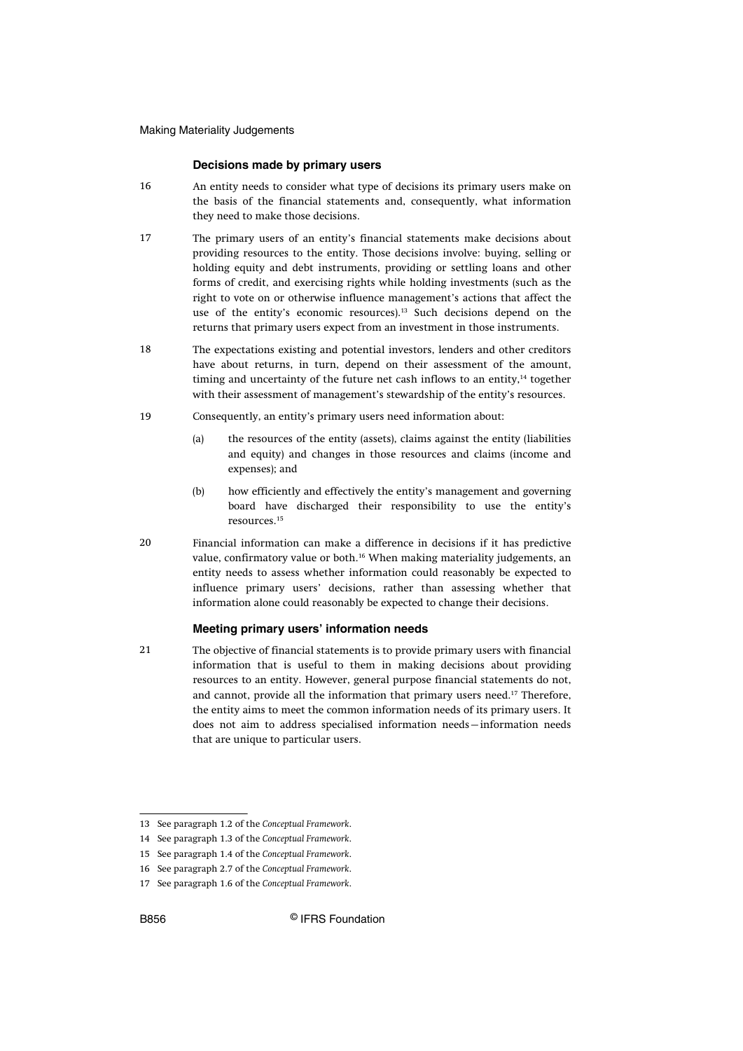#### **Decisions made by primary users**

- <span id="page-9-0"></span>An entity needs to consider what type of decisions its primary users make on the basis of the financial statements and, consequently, what information they need to make those decisions. 16
- The primary users of an entity's financial statements make decisions about providing resources to the entity. Those decisions involve: buying, selling or holding equity and debt instruments, providing or settling loans and other forms of credit, and exercising rights while holding investments (such as the right to vote on or otherwise influence management's actions that affect the use of the entity's economic resources).<sup>13</sup> Such decisions depend on the returns that primary users expect from an investment in those instruments. 17
- The expectations existing and potential investors, lenders and other creditors have about returns, in turn, depend on their assessment of the amount, timing and uncertainty of the future net cash inflows to an entity, $14$  together with their assessment of management's stewardship of the entity's resources. 18
- Consequently, an entity's primary users need information about: 19
	- (a) the resources of the entity (assets), claims against the entity (liabilities and equity) and changes in those resources and claims (income and expenses); and
	- (b) how efficiently and effectively the entity's management and governing board have discharged their responsibility to use the entity's resources.<sup>15</sup>
- Financial information can make a difference in decisions if it has predictive value, confirmatory value or both.<sup>16</sup> When making materiality judgements, an entity needs to assess whether information could reasonably be expected to influence primary users' decisions, rather than assessing whether that information alone could reasonably be expected to change their decisions. 20

#### **Meeting primary users' information needs**

The objective of financial statements is to provide primary users with financial information that is useful to them in making decisions about providing resources to an entity. However, general purpose financial statements do not, and cannot, provide all the information that primary users need.<sup>17</sup> Therefore, the entity aims to meet the common information needs of its primary users. It does not aim to address specialised information needs—information needs that are unique to particular users. 21

<sup>13</sup> See paragraph 1.2 of the *Conceptual Framework*.

<sup>14</sup> See paragraph 1.3 of the *Conceptual Framework*.

<sup>15</sup> See paragraph 1.4 of the *Conceptual Framework*.

<sup>16</sup> See paragraph 2.7 of the *Conceptual Framework*.

<sup>17</sup> See paragraph 1.6 of the *Conceptual Framework*.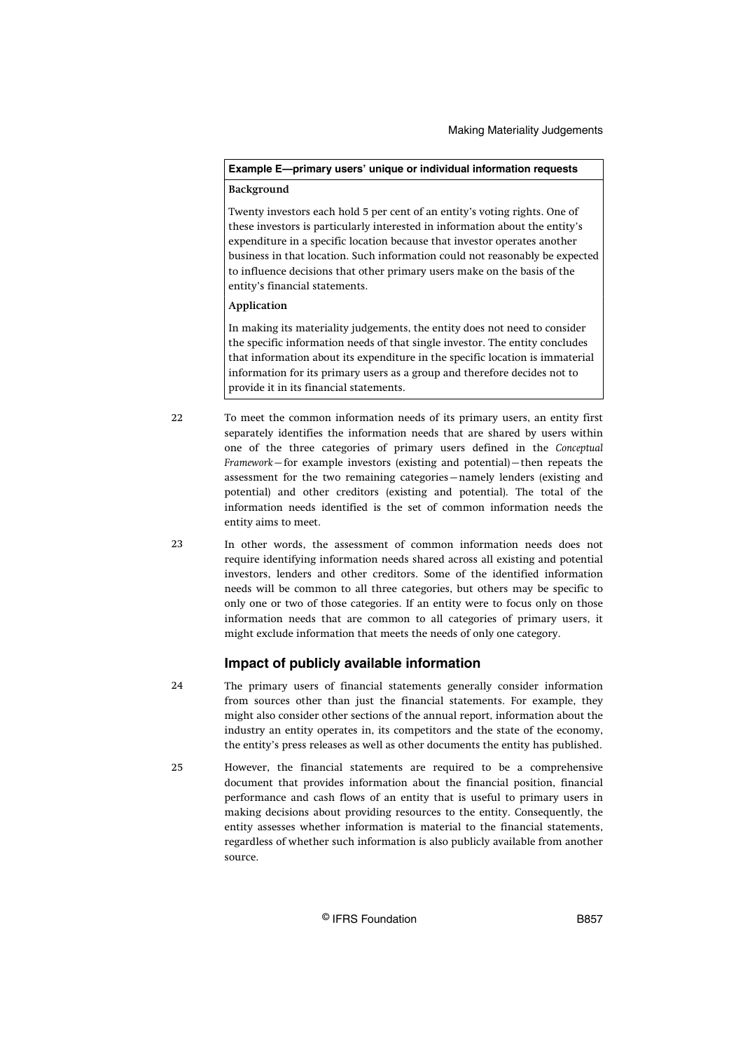# <span id="page-10-0"></span>**Example E—primary users' unique or individual information requests**

# **Background**

Twenty investors each hold 5 per cent of an entity's voting rights. One of these investors is particularly interested in information about the entity's expenditure in a specific location because that investor operates another business in that location. Such information could not reasonably be expected to influence decisions that other primary users make on the basis of the entity's financial statements.

# **Application**

In making its materiality judgements, the entity does not need to consider the specific information needs of that single investor. The entity concludes that information about its expenditure in the specific location is immaterial information for its primary users as a group and therefore decides not to provide it in its financial statements.

- To meet the common information needs of its primary users, an entity first separately identifies the information needs that are shared by users within one of the three categories of primary users defined in the *Conceptual Framework*—for example investors (existing and potential)—then repeats the assessment for the two remaining categories—namely lenders (existing and potential) and other creditors (existing and potential). The total of the information needs identified is the set of common information needs the entity aims to meet. 22
- In other words, the assessment of common information needs does not require identifying information needs shared across all existing and potential investors, lenders and other creditors. Some of the identified information needs will be common to all three categories, but others may be specific to only one or two of those categories. If an entity were to focus only on those information needs that are common to all categories of primary users, it might exclude information that meets the needs of only one category. 23

# **Impact of publicly available information**

- The primary users of financial statements generally consider information from sources other than just the financial statements. For example, they might also consider other sections of the annual report, information about the industry an entity operates in, its competitors and the state of the economy, the entity's press releases as well as other documents the entity has published.  $24$
- However, the financial statements are required to be a comprehensive document that provides information about the financial position, financial performance and cash flows of an entity that is useful to primary users in making decisions about providing resources to the entity. Consequently, the entity assesses whether information is material to the financial statements, regardless of whether such information is also publicly available from another source. 25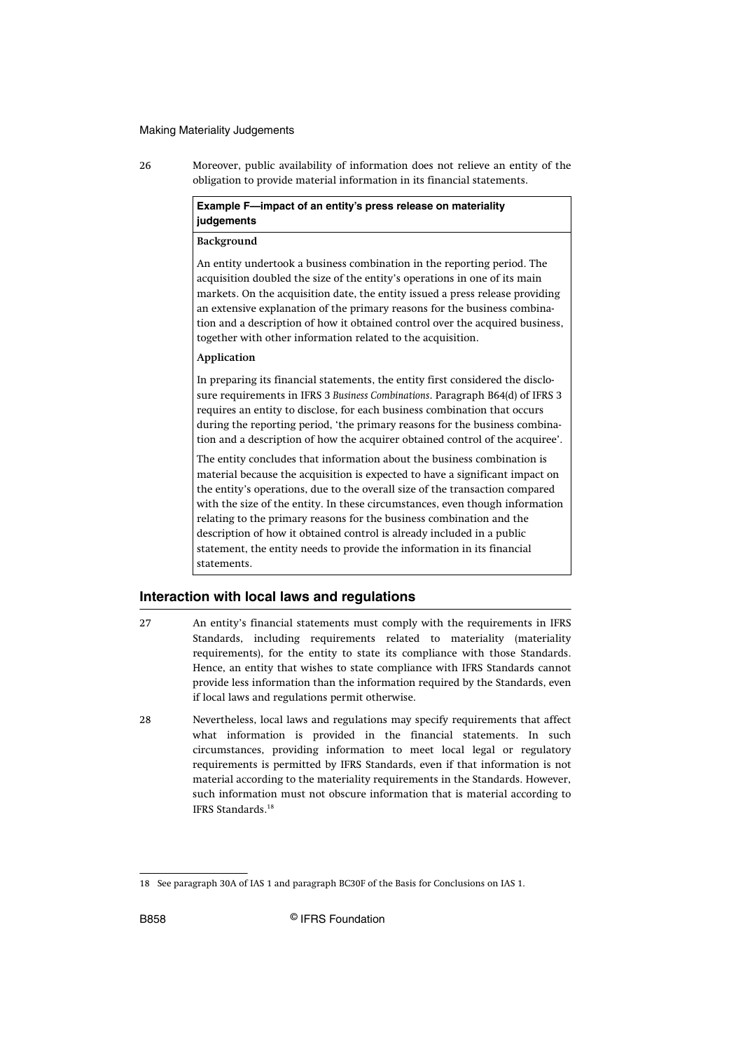<span id="page-11-0"></span>26

Moreover, public availability of information does not relieve an entity of the obligation to provide material information in its financial statements.

# **Example F—impact of an entity's press release on materiality judgements**

### **Background**

An entity undertook a business combination in the reporting period. The acquisition doubled the size of the entity's operations in one of its main markets. On the acquisition date, the entity issued a press release providing an extensive explanation of the primary reasons for the business combination and a description of how it obtained control over the acquired business, together with other information related to the acquisition.

# **Application**

In preparing its financial statements, the entity first considered the disclosure requirements in IFRS 3 *Business Combinations*. Paragraph B64(d) of IFRS 3 requires an entity to disclose, for each business combination that occurs during the reporting period, 'the primary reasons for the business combination and a description of how the acquirer obtained control of the acquiree'.

The entity concludes that information about the business combination is material because the acquisition is expected to have a significant impact on the entity's operations, due to the overall size of the transaction compared with the size of the entity. In these circumstances, even though information relating to the primary reasons for the business combination and the description of how it obtained control is already included in a public statement, the entity needs to provide the information in its financial statements.

# **Interaction with local laws and regulations**

- An entity's financial statements must comply with the requirements in IFRS Standards, including requirements related to materiality (materiality requirements), for the entity to state its compliance with those Standards. Hence, an entity that wishes to state compliance with IFRS Standards cannot provide less information than the information required by the Standards, even if local laws and regulations permit otherwise. 27
- Nevertheless, local laws and regulations may specify requirements that affect what information is provided in the financial statements. In such circumstances, providing information to meet local legal or regulatory requirements is permitted by IFRS Standards, even if that information is not material according to the materiality requirements in the Standards. However, such information must not obscure information that is material according to IFRS Standards.<sup>18</sup> 28

<sup>18</sup> See paragraph 30A of IAS 1 and paragraph BC30F of the Basis for Conclusions on IAS 1.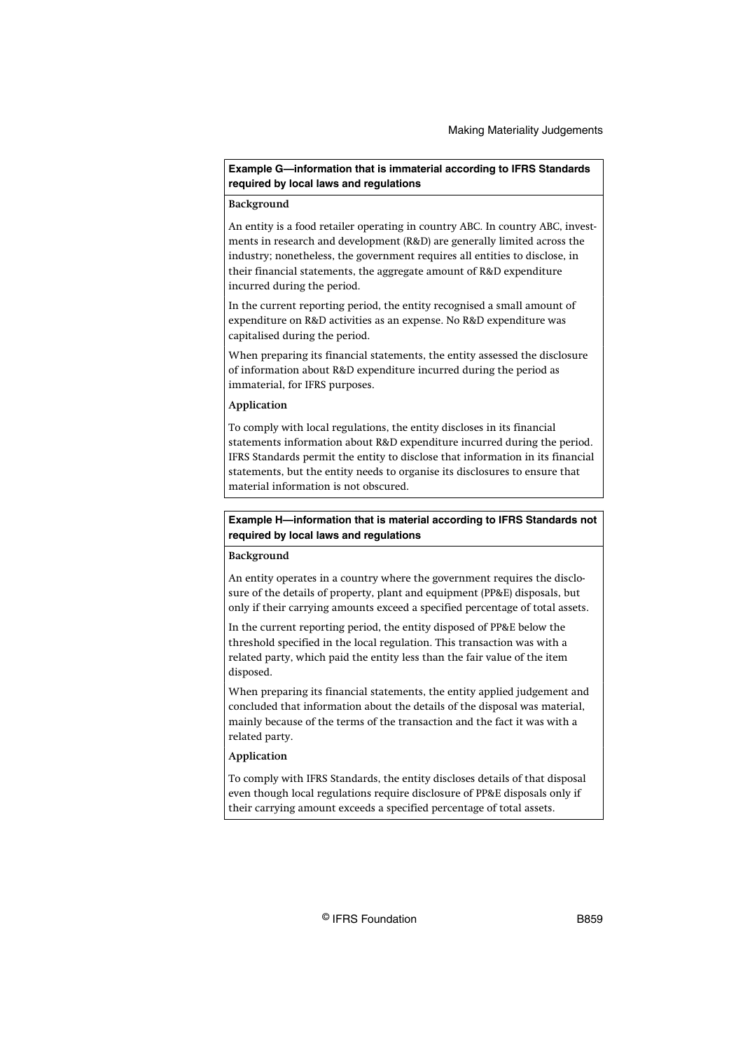# **Example G—information that is immaterial according to IFRS Standards required by local laws and regulations**

### **Background**

An entity is a food retailer operating in country ABC. In country ABC, investments in research and development (R&D) are generally limited across the industry; nonetheless, the government requires all entities to disclose, in their financial statements, the aggregate amount of R&D expenditure incurred during the period.

In the current reporting period, the entity recognised a small amount of expenditure on R&D activities as an expense. No R&D expenditure was capitalised during the period.

When preparing its financial statements, the entity assessed the disclosure of information about R&D expenditure incurred during the period as immaterial, for IFRS purposes.

# **Application**

To comply with local regulations, the entity discloses in its financial statements information about R&D expenditure incurred during the period. IFRS Standards permit the entity to disclose that information in its financial statements, but the entity needs to organise its disclosures to ensure that material information is not obscured.

# **Example H—information that is material according to IFRS Standards not required by local laws and regulations**

### **Background**

An entity operates in a country where the government requires the disclosure of the details of property, plant and equipment (PP&E) disposals, but only if their carrying amounts exceed a specified percentage of total assets.

In the current reporting period, the entity disposed of PP&E below the threshold specified in the local regulation. This transaction was with a related party, which paid the entity less than the fair value of the item disposed.

When preparing its financial statements, the entity applied judgement and concluded that information about the details of the disposal was material, mainly because of the terms of the transaction and the fact it was with a related party.

### **Application**

To comply with IFRS Standards, the entity discloses details of that disposal even though local regulations require disclosure of PP&E disposals only if their carrying amount exceeds a specified percentage of total assets.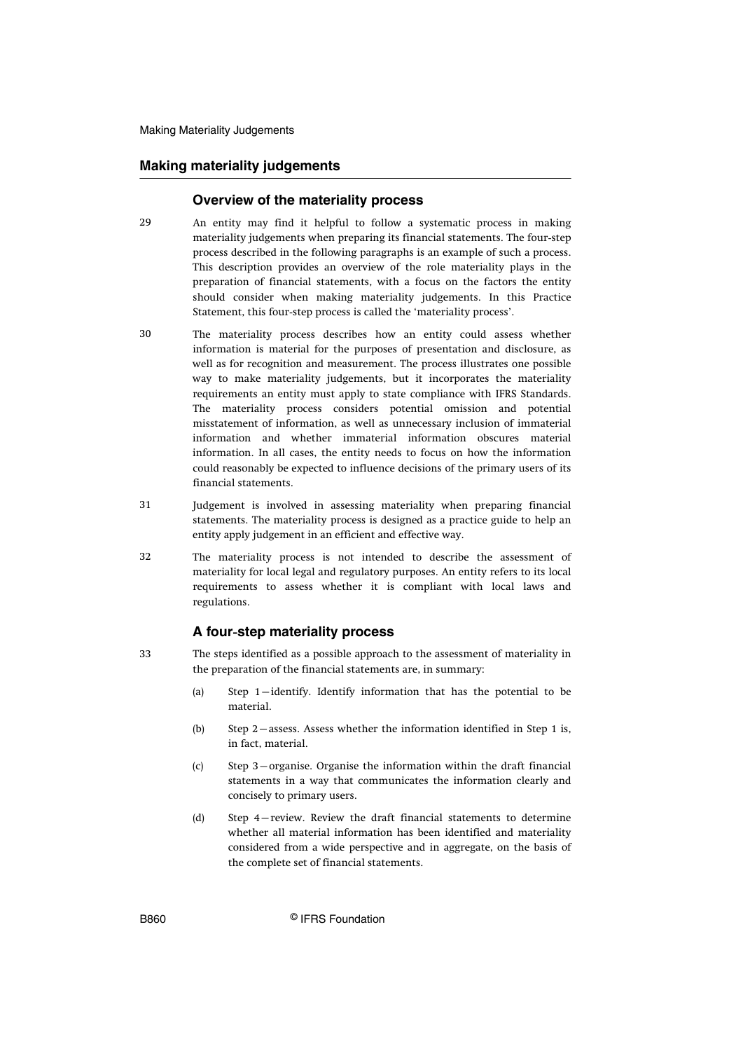# <span id="page-13-0"></span>**Making materiality judgements**

### **Overview of the materiality process**

- An entity may find it helpful to follow a systematic process in making materiality judgements when preparing its financial statements. The four-step process described in the following paragraphs is an example of such a process. This description provides an overview of the role materiality plays in the preparation of financial statements, with a focus on the factors the entity should consider when making materiality judgements. In this Practice Statement, this four-step process is called the 'materiality process'. 29
- The materiality process describes how an entity could assess whether information is material for the purposes of presentation and disclosure, as well as for recognition and measurement. The process illustrates one possible way to make materiality judgements, but it incorporates the materiality requirements an entity must apply to state compliance with IFRS Standards. The materiality process considers potential omission and potential misstatement of information, as well as unnecessary inclusion of immaterial information and whether immaterial information obscures material information. In all cases, the entity needs to focus on how the information could reasonably be expected to influence decisions of the primary users of its financial statements. 30
- Judgement is involved in assessing materiality when preparing financial statements. The materiality process is designed as a practice guide to help an entity apply judgement in an efficient and effective way. 31
- The materiality process is not intended to describe the assessment of materiality for local legal and regulatory purposes. An entity refers to its local requirements to assess whether it is compliant with local laws and regulations. 32

# **A four‑step materiality process**

- The steps identified as a possible approach to the assessment of materiality in the preparation of the financial statements are, in summary: 33
	- (a) [Step 1—](#page-14-0)identify. Identify information that has the potential to be material.
	- (b) [Step 2—](#page-15-0)assess. Assess whether the information identified in Step 1 is, in fact, material.
	- (c) [Step 3](#page-20-0)—organise. Organise the information within the draft financial statements in a way that communicates the information clearly and concisely to primary users.
	- (d) [Step 4](#page-21-0)—review. Review the draft financial statements to determine whether all material information has been identified and materiality considered from a wide perspective and in aggregate, on the basis of the complete set of financial statements.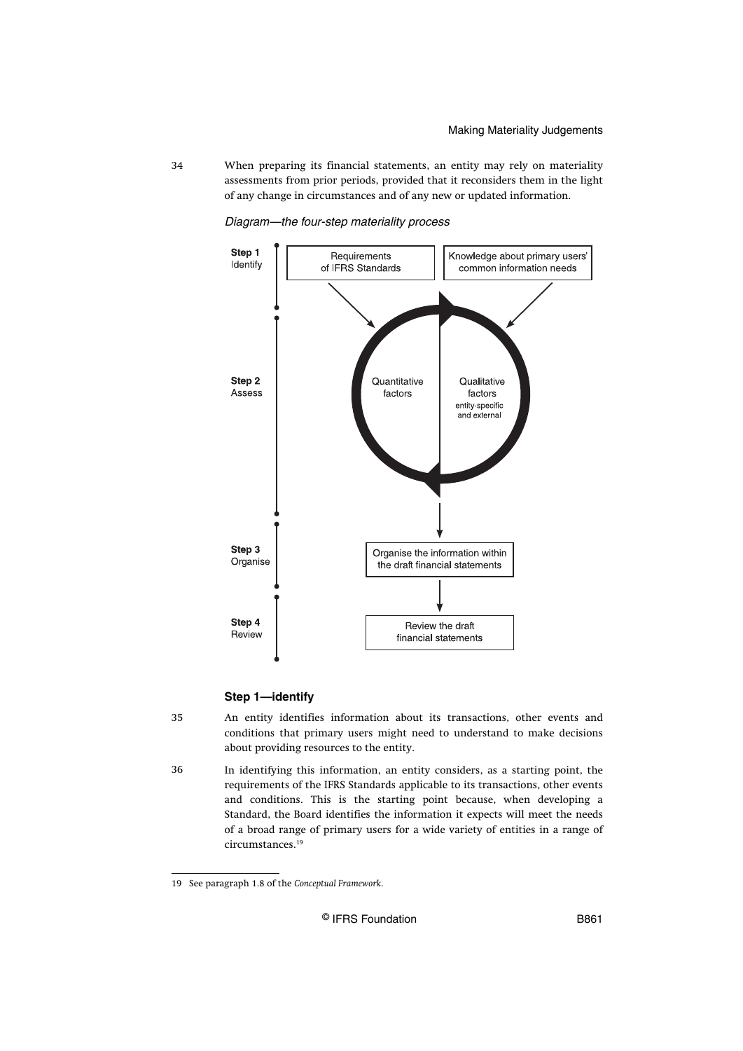When preparing its financial statements, an entity may rely on materiality assessments from prior periods, provided that it reconsiders them in the light of any change in circumstances and of any new or updated information.

Diagram—the four-step materiality process



# **Step 1—identify**

35

- An entity identifies information about its transactions, other events and conditions that primary users might need to understand to make decisions about providing resources to the entity.
- In identifying this information, an entity considers, as a starting point, the requirements of the IFRS Standards applicable to its transactions, other events and conditions. This is the starting point because, when developing a Standard, the Board identifies the information it expects will meet the needs of a broad range of primary users for a wide variety of entities in a range of circumstances.<sup>19</sup> 36

<span id="page-14-0"></span>34

<sup>19</sup> See paragraph 1.8 of the *Conceptual Framework*.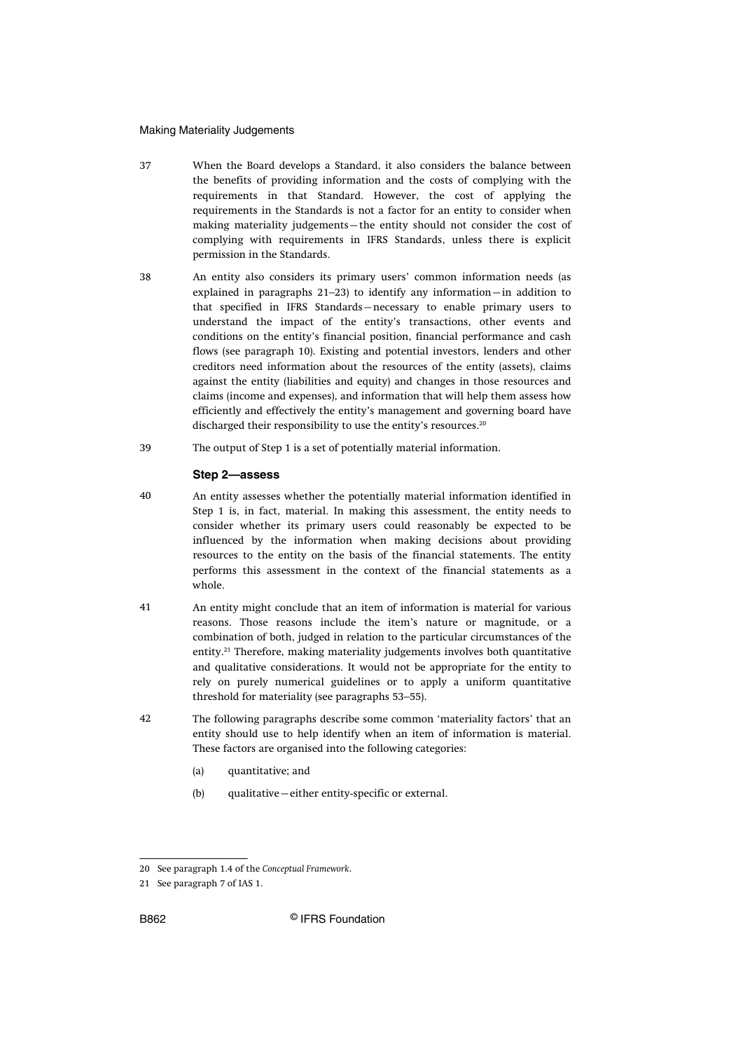- <span id="page-15-0"></span>When the Board develops a Standard, it also considers the balance between the benefits of providing information and the costs of complying with the requirements in that Standard. However, the cost of applying the requirements in the Standards is not a factor for an entity to consider when making materiality judgements—the entity should not consider the cost of complying with requirements in IFRS Standards, unless there is explicit permission in the Standards. 37
- An entity also considers its primary users' common information needs (as explained in [paragraphs 21–23\)](#page-9-0) to identify any information—in addition to that specified in IFRS Standards—necessary to enable primary users to understand the impact of the entity's transactions, other events and conditions on the entity's financial position, financial performance and cash flows (see [paragraph 10](#page-6-0)). Existing and potential investors, lenders and other creditors need information about the resources of the entity (assets), claims against the entity (liabilities and equity) and changes in those resources and claims (income and expenses), and information that will help them assess how efficiently and effectively the entity's management and governing board have discharged their responsibility to use the entity's resources.<sup>20</sup> 38
- The output of Step 1 is a set of potentially material information. 39

#### **Step 2—assess**

- An entity assesses whether the potentially material information identified in [Step 1](#page-14-0) is, in fact, material. In making this assessment, the entity needs to consider whether its primary users could reasonably be expected to be influenced by the information when making decisions about providing resources to the entity on the basis of the financial statements. The entity performs this assessment in the context of the financial statements as a whole. 40
- An entity might conclude that an item of information is material for various reasons. Those reasons include the item's nature or magnitude, or a combination of both, judged in relation to the particular circumstances of the entity.<sup>21</sup> Therefore, making materiality judgements involves both quantitative and qualitative considerations. It would not be appropriate for the entity to rely on purely numerical guidelines or to apply a uniform quantitative threshold for materiality (see paragraphs 53–55). 41
- The following paragraphs describe some common 'materiality factors' that an entity should use to help identify when an item of information is material. These factors are organised into the following categories: 42
	- (a) quantitative; and
	- (b) qualitative either entity-specific or external.

<sup>20</sup> See paragraph 1.4 of the *Conceptual Framework*.

<sup>21</sup> See paragraph 7 of IAS 1.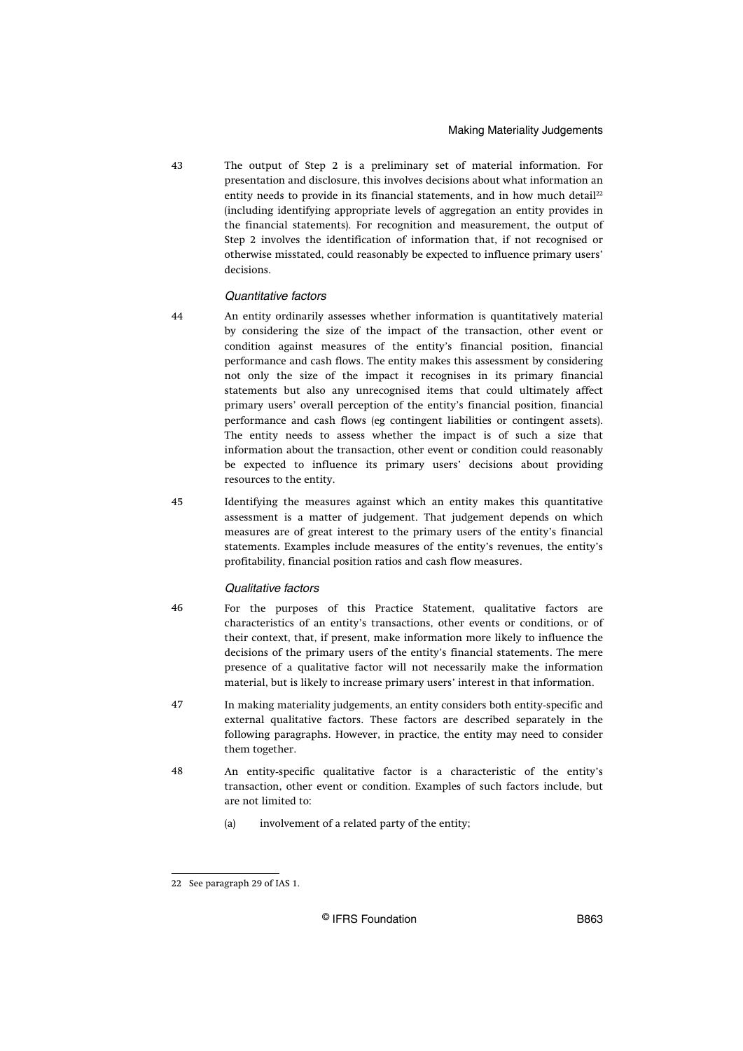The output of Step 2 is a preliminary set of material information. For presentation and disclosure, this involves decisions about what information an entity needs to provide in its financial statements, and in how much detail<sup>22</sup> (including identifying appropriate levels of aggregation an entity provides in the financial statements). For recognition and measurement, the output of Step 2 involves the identification of information that, if not recognised or otherwise misstated, could reasonably be expected to influence primary users' decisions. 43

#### Quantitative factors

44

- An entity ordinarily assesses whether information is quantitatively material by considering the size of the impact of the transaction, other event or condition against measures of the entity's financial position, financial performance and cash flows. The entity makes this assessment by considering not only the size of the impact it recognises in its primary financial statements but also any unrecognised items that could ultimately affect primary users' overall perception of the entity's financial position, financial performance and cash flows (eg contingent liabilities or contingent assets). The entity needs to assess whether the impact is of such a size that information about the transaction, other event or condition could reasonably be expected to influence its primary users' decisions about providing resources to the entity.
- Identifying the measures against which an entity makes this quantitative assessment is a matter of judgement. That judgement depends on which measures are of great interest to the primary users of the entity's financial statements. Examples include measures of the entity's revenues, the entity's profitability, financial position ratios and cash flow measures. 45

#### Qualitative factors

- For the purposes of this Practice Statement, qualitative factors are characteristics of an entity's transactions, other events or conditions, or of their context, that, if present, make information more likely to influence the decisions of the primary users of the entity's financial statements. The mere presence of a qualitative factor will not necessarily make the information material, but is likely to increase primary users' interest in that information. 46
- In making materiality judgements, an entity considers both entity-specific and external qualitative factors. These factors are described separately in the following paragraphs. However, in practice, the entity may need to consider them together. 47
- An entity‑specific qualitative factor is a characteristic of the entity's transaction, other event or condition. Examples of such factors include, but are not limited to: 48
	- (a) involvement of a related party of the entity;

<sup>22</sup> See paragraph 29 of IAS 1.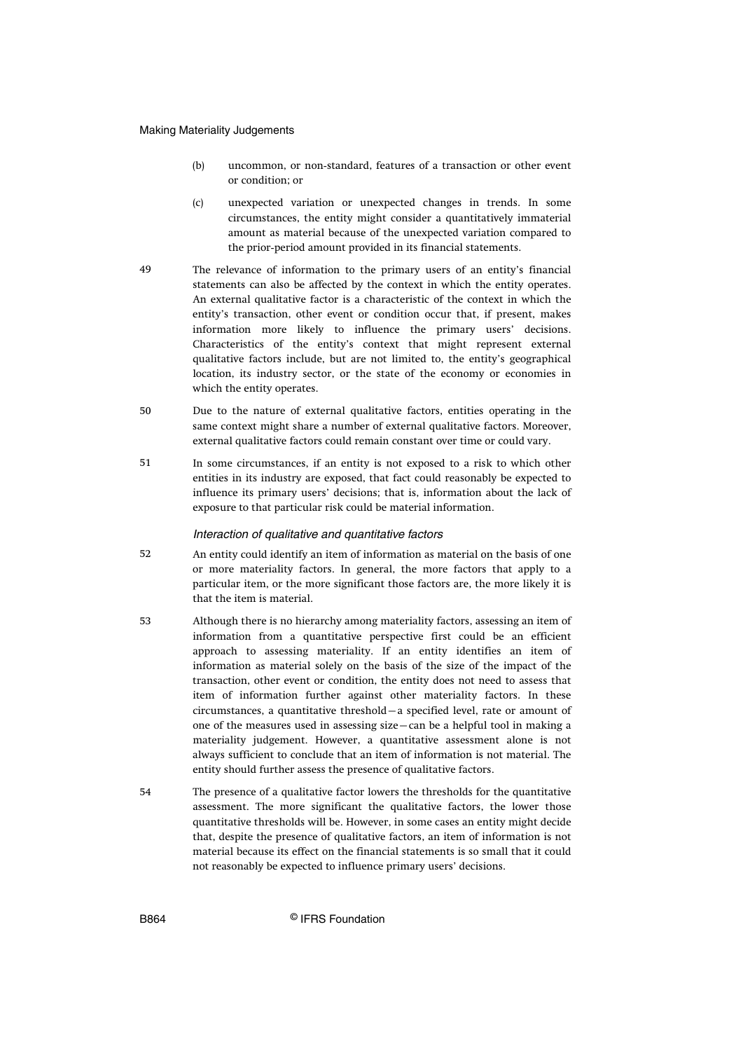- (b) uncommon, or non‑standard, features of a transaction or other event or condition; or
- (c) unexpected variation or unexpected changes in trends. In some circumstances, the entity might consider a quantitatively immaterial amount as material because of the unexpected variation compared to the prior‑period amount provided in its financial statements.
- The relevance of information to the primary users of an entity's financial statements can also be affected by the context in which the entity operates. An external qualitative factor is a characteristic of the context in which the entity's transaction, other event or condition occur that, if present, makes information more likely to influence the primary users' decisions. Characteristics of the entity's context that might represent external qualitative factors include, but are not limited to, the entity's geographical location, its industry sector, or the state of the economy or economies in which the entity operates. 49
- Due to the nature of external qualitative factors, entities operating in the same context might share a number of external qualitative factors. Moreover, external qualitative factors could remain constant over time or could vary. 50
- In some circumstances, if an entity is not exposed to a risk to which other entities in its industry are exposed, that fact could reasonably be expected to influence its primary users' decisions; that is, information about the lack of exposure to that particular risk could be material information. 51

#### Interaction of qualitative and quantitative factors

- An entity could identify an item of information as material on the basis of one or more materiality factors. In general, the more factors that apply to a particular item, or the more significant those factors are, the more likely it is that the item is material. 52
- Although there is no hierarchy among materiality factors, assessing an item of information from a quantitative perspective first could be an efficient approach to assessing materiality. If an entity identifies an item of information as material solely on the basis of the size of the impact of the transaction, other event or condition, the entity does not need to assess that item of information further against other materiality factors. In these circumstances, a quantitative threshold—a specified level, rate or amount of one of the measures used in assessing size—can be a helpful tool in making a materiality judgement. However, a quantitative assessment alone is not always sufficient to conclude that an item of information is not material. The entity should further assess the presence of qualitative factors. 53
- The presence of a qualitative factor lowers the thresholds for the quantitative assessment. The more significant the qualitative factors, the lower those quantitative thresholds will be. However, in some cases an entity might decide that, despite the presence of qualitative factors, an item of information is not material because its effect on the financial statements is so small that it could not reasonably be expected to influence primary users' decisions. 54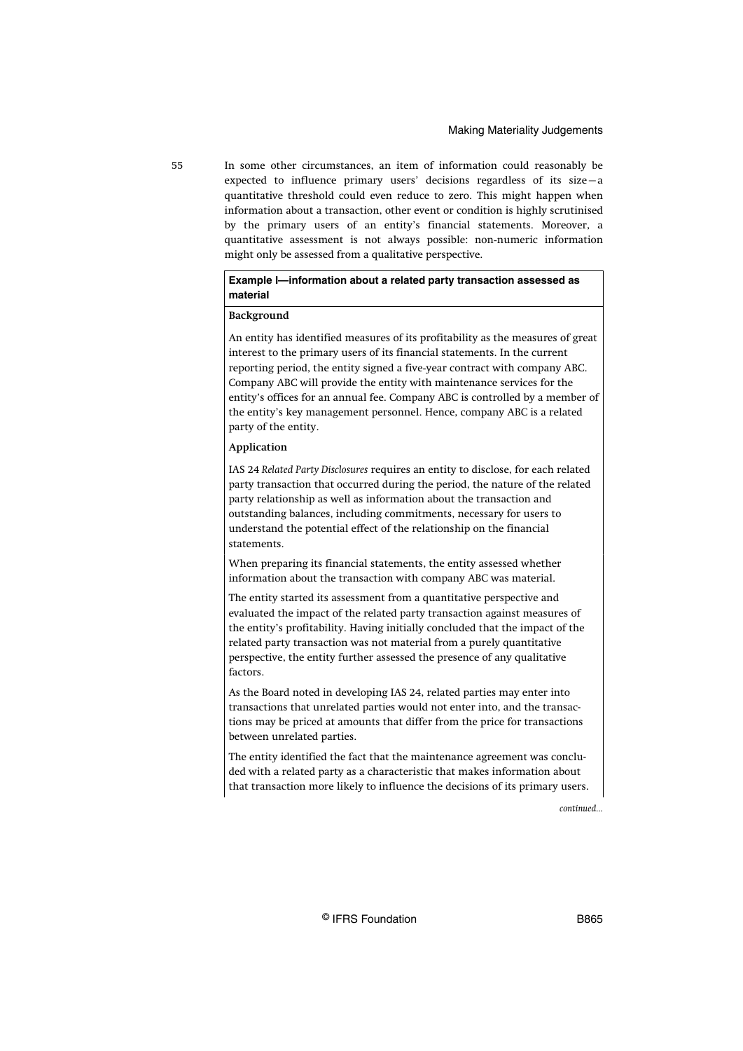In some other circumstances, an item of information could reasonably be expected to influence primary users' decisions regardless of its size—a quantitative threshold could even reduce to zero. This might happen when information about a transaction, other event or condition is highly scrutinised by the primary users of an entity's financial statements. Moreover, a quantitative assessment is not always possible: non‑numeric information might only be assessed from a qualitative perspective.

# **Example I—information about a related party transaction assessed as material**

#### **Background**

An entity has identified measures of its profitability as the measures of great interest to the primary users of its financial statements. In the current reporting period, the entity signed a five-year contract with company ABC. Company ABC will provide the entity with maintenance services for the entity's offices for an annual fee. Company ABC is controlled by a member of the entity's key management personnel. Hence, company ABC is a related party of the entity.

#### **Application**

IAS 24 *Related Party Disclosures* requires an entity to disclose, for each related party transaction that occurred during the period, the nature of the related party relationship as well as information about the transaction and outstanding balances, including commitments, necessary for users to understand the potential effect of the relationship on the financial statements.

When preparing its financial statements, the entity assessed whether information about the transaction with company ABC was material.

The entity started its assessment from a quantitative perspective and evaluated the impact of the related party transaction against measures of the entity's profitability. Having initially concluded that the impact of the related party transaction was not material from a purely quantitative perspective, the entity further assessed the presence of any qualitative factors.

As the Board noted in developing IAS 24, related parties may enter into transactions that unrelated parties would not enter into, and the transactions may be priced at amounts that differ from the price for transactions between unrelated parties.

The entity identified the fact that the maintenance agreement was concluded with a related party as a characteristic that makes information about that transaction more likely to influence the decisions of its primary users.

*continued...*

55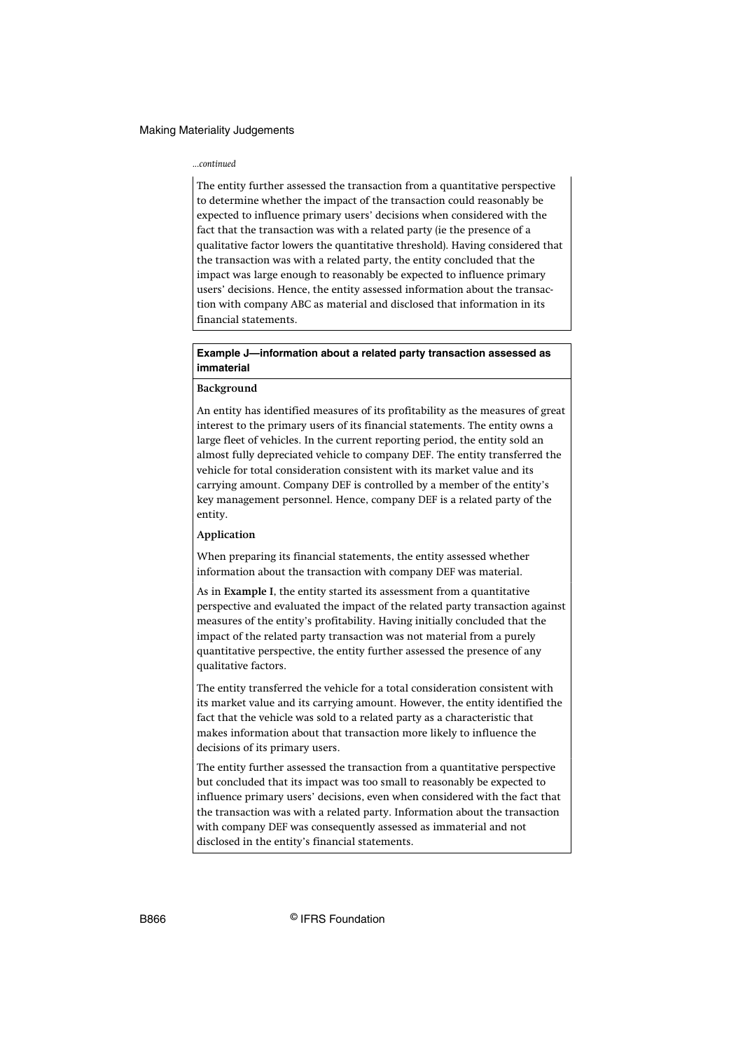#### *...continued*

The entity further assessed the transaction from a quantitative perspective to determine whether the impact of the transaction could reasonably be expected to influence primary users' decisions when considered with the fact that the transaction was with a related party (ie the presence of a qualitative factor lowers the quantitative threshold). Having considered that the transaction was with a related party, the entity concluded that the impact was large enough to reasonably be expected to influence primary users' decisions. Hence, the entity assessed information about the transaction with company ABC as material and disclosed that information in its financial statements.

### **Example J—information about a related party transaction assessed as immaterial**

### **Background**

An entity has identified measures of its profitability as the measures of great interest to the primary users of its financial statements. The entity owns a large fleet of vehicles. In the current reporting period, the entity sold an almost fully depreciated vehicle to company DEF. The entity transferred the vehicle for total consideration consistent with its market value and its carrying amount. Company DEF is controlled by a member of the entity's key management personnel. Hence, company DEF is a related party of the entity.

#### **Application**

When preparing its financial statements, the entity assessed whether information about the transaction with company DEF was material.

As in **Example I**, the entity started its assessment from a quantitative perspective and evaluated the impact of the related party transaction against measures of the entity's profitability. Having initially concluded that the impact of the related party transaction was not material from a purely quantitative perspective, the entity further assessed the presence of any qualitative factors.

The entity transferred the vehicle for a total consideration consistent with its market value and its carrying amount. However, the entity identified the fact that the vehicle was sold to a related party as a characteristic that makes information about that transaction more likely to influence the decisions of its primary users.

The entity further assessed the transaction from a quantitative perspective but concluded that its impact was too small to reasonably be expected to influence primary users' decisions, even when considered with the fact that the transaction was with a related party. Information about the transaction with company DEF was consequently assessed as immaterial and not disclosed in the entity's financial statements.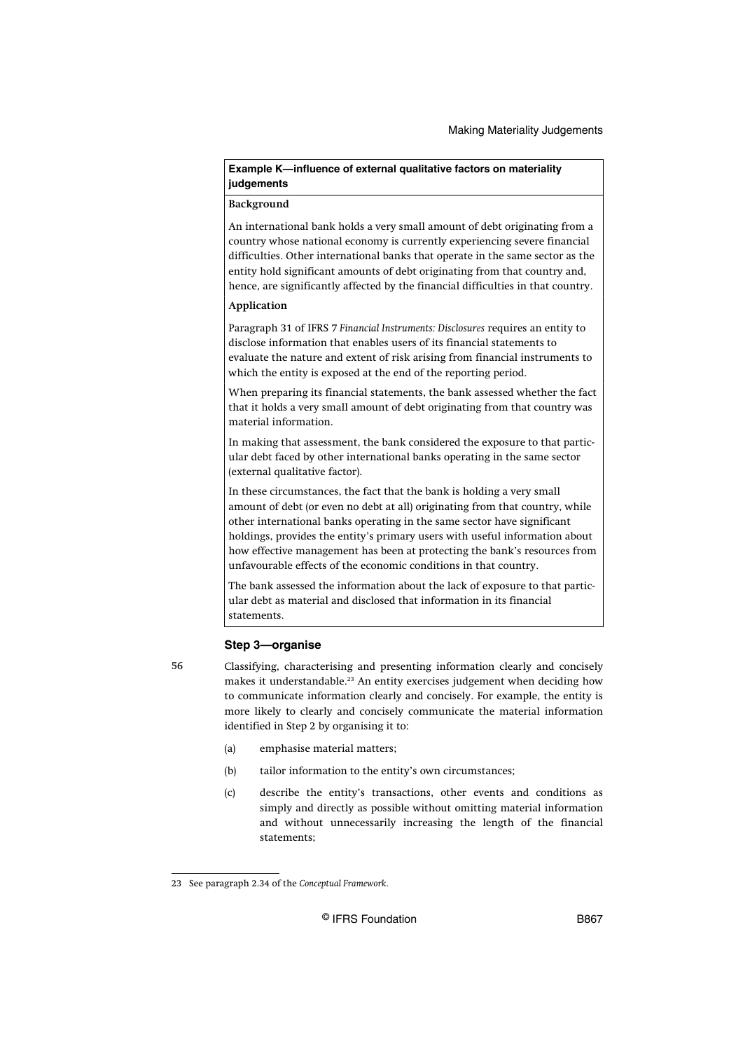# <span id="page-20-0"></span>**Example K—influence of external qualitative factors on materiality judgements**

### **Background**

An international bank holds a very small amount of debt originating from a country whose national economy is currently experiencing severe financial difficulties. Other international banks that operate in the same sector as the entity hold significant amounts of debt originating from that country and, hence, are significantly affected by the financial difficulties in that country.

## **Application**

Paragraph 31 of IFRS 7 *Financial Instruments: Disclosures* requires an entity to disclose information that enables users of its financial statements to evaluate the nature and extent of risk arising from financial instruments to which the entity is exposed at the end of the reporting period.

When preparing its financial statements, the bank assessed whether the fact that it holds a very small amount of debt originating from that country was material information.

In making that assessment, the bank considered the exposure to that particular debt faced by other international banks operating in the same sector (external qualitative factor).

In these circumstances, the fact that the bank is holding a very small amount of debt (or even no debt at all) originating from that country, while other international banks operating in the same sector have significant holdings, provides the entity's primary users with useful information about how effective management has been at protecting the bank's resources from unfavourable effects of the economic conditions in that country.

The bank assessed the information about the lack of exposure to that particular debt as material and disclosed that information in its financial statements.

#### **Step 3—organise**

56

Classifying, characterising and presenting information clearly and concisely makes it understandable.<sup>23</sup> An entity exercises judgement when deciding how to communicate information clearly and concisely. For example, the entity is more likely to clearly and concisely communicate the material information identified in [Step 2](#page-15-0) by organising it to:

- (a) emphasise material matters;
- (b) tailor information to the entity's own circumstances;
- (c) describe the entity's transactions, other events and conditions as simply and directly as possible without omitting material information and without unnecessarily increasing the length of the financial statements;

<sup>23</sup> See paragraph 2.34 of the *Conceptual Framework*.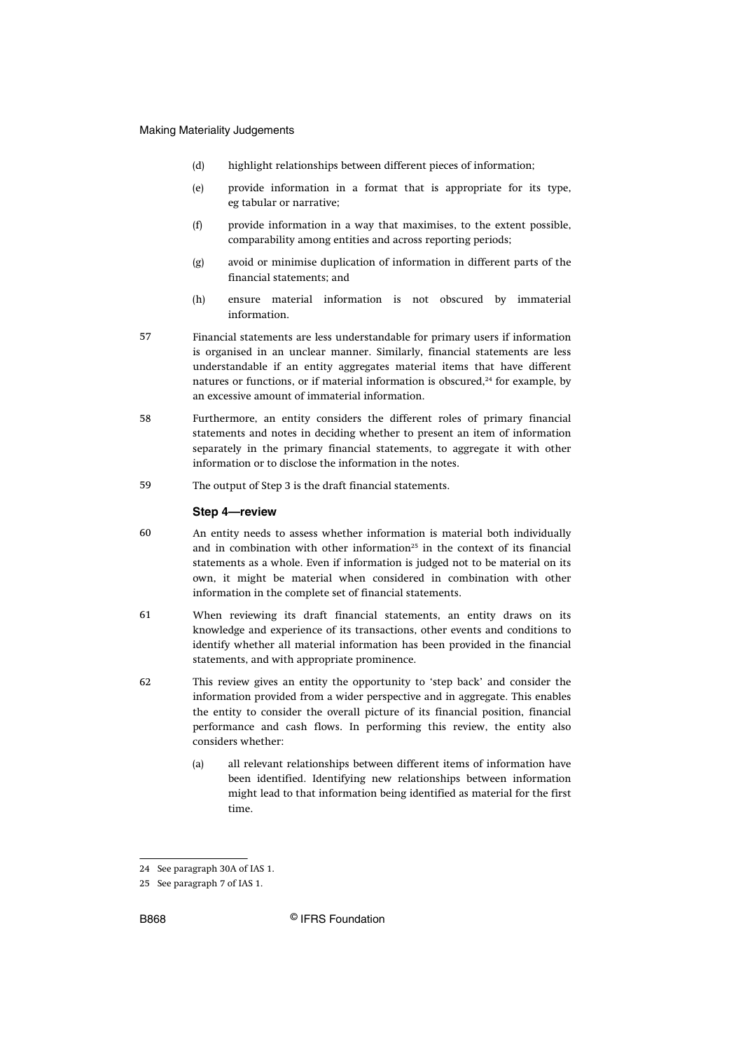- <span id="page-21-0"></span>(d) highlight relationships between different pieces of information;
- (e) provide information in a format that is appropriate for its type, eg tabular or narrative;
- (f) provide information in a way that maximises, to the extent possible, comparability among entities and across reporting periods;
- (g) avoid or minimise duplication of information in different parts of the financial statements; and
- (h) ensure material information is not obscured by immaterial information.
- Financial statements are less understandable for primary users if information is organised in an unclear manner. Similarly, financial statements are less understandable if an entity aggregates material items that have different natures or functions, or if material information is obscured, $24$  for example, by an excessive amount of immaterial information. 57
- Furthermore, an entity considers the different roles of primary financial statements and notes in deciding whether to present an item of information separately in the primary financial statements, to aggregate it with other information or to disclose the information in the notes. 58
- The output of Step 3 is the draft financial statements. 59

# **Step 4—review**

- An entity needs to assess whether information is material both individually and in combination with other information $25$  in the context of its financial statements as a whole. Even if information is judged not to be material on its own, it might be material when considered in combination with other information in the complete set of financial statements. 60
- When reviewing its draft financial statements, an entity draws on its knowledge and experience of its transactions, other events and conditions to identify whether all material information has been provided in the financial statements, and with appropriate prominence. 61
- This review gives an entity the opportunity to 'step back' and consider the information provided from a wider perspective and in aggregate. This enables the entity to consider the overall picture of its financial position, financial performance and cash flows. In performing this review, the entity also considers whether:  $62$ 
	- (a) all relevant relationships between different items of information have been identified. Identifying new relationships between information might lead to that information being identified as material for the first time.

<sup>24</sup> See paragraph 30A of IAS 1.

<sup>25</sup> See paragraph 7 of IAS 1.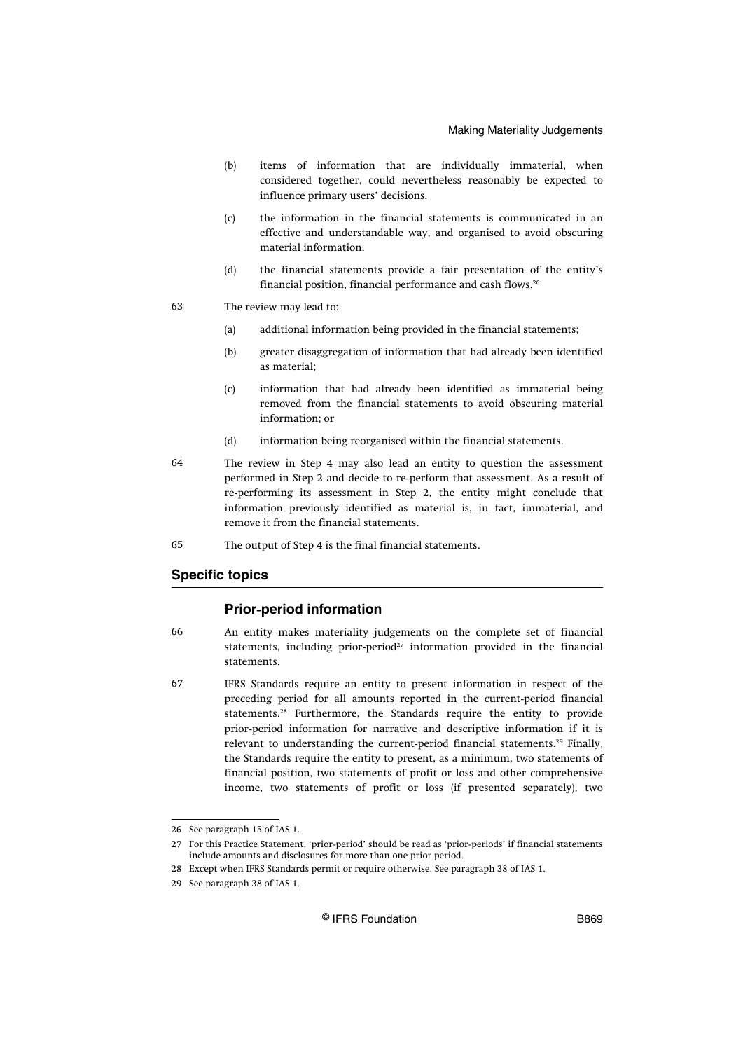- <span id="page-22-0"></span>(b) items of information that are individually immaterial, when considered together, could nevertheless reasonably be expected to influence primary users' decisions.
- (c) the information in the financial statements is communicated in an effective and understandable way, and organised to avoid obscuring material information.
- (d) the financial statements provide a fair presentation of the entity's financial position, financial performance and cash flows.<sup>26</sup>
- The review may lead to: 63
	- (a) additional information being provided in the financial statements;
	- (b) greater disaggregation of information that had already been identified as material;
	- (c) information that had already been identified as immaterial being removed from the financial statements to avoid obscuring material information; or
	- (d) information being reorganised within the financial statements.
- The review in [Step 4](#page-21-0) may also lead an entity to question the assessment performed in [Step 2](#page-15-0) and decide to re‑perform that assessment. As a result of re‑performing its assessment in Step 2, the entity might conclude that information previously identified as material is, in fact, immaterial, and remove it from the financial statements. 64
- The output of Step 4 is the final financial statements. 65

### **Specific topics**

# **Prior‑period information**

- An entity makes materiality judgements on the complete set of financial statements, including prior-period<sup>27</sup> information provided in the financial statements. 66
- IFRS Standards require an entity to present information in respect of the preceding period for all amounts reported in the current-period financial statements.<sup>28</sup> Furthermore, the Standards require the entity to provide prior‑period information for narrative and descriptive information if it is relevant to understanding the current-period financial statements.<sup>29</sup> Finally, the Standards require the entity to present, as a minimum, two statements of financial position, two statements of profit or loss and other comprehensive income, two statements of profit or loss (if presented separately), two 67

© IFRS Foundation B869

<sup>26</sup> See paragraph 15 of IAS 1.

<sup>27</sup> For this Practice Statement, 'prior-period' should be read as 'prior-periods' if financial statements include amounts and disclosures for more than one prior period.

<sup>28</sup> Except when IFRS Standards permit or require otherwise. See paragraph 38 of IAS 1.

<sup>29</sup> See paragraph 38 of IAS 1.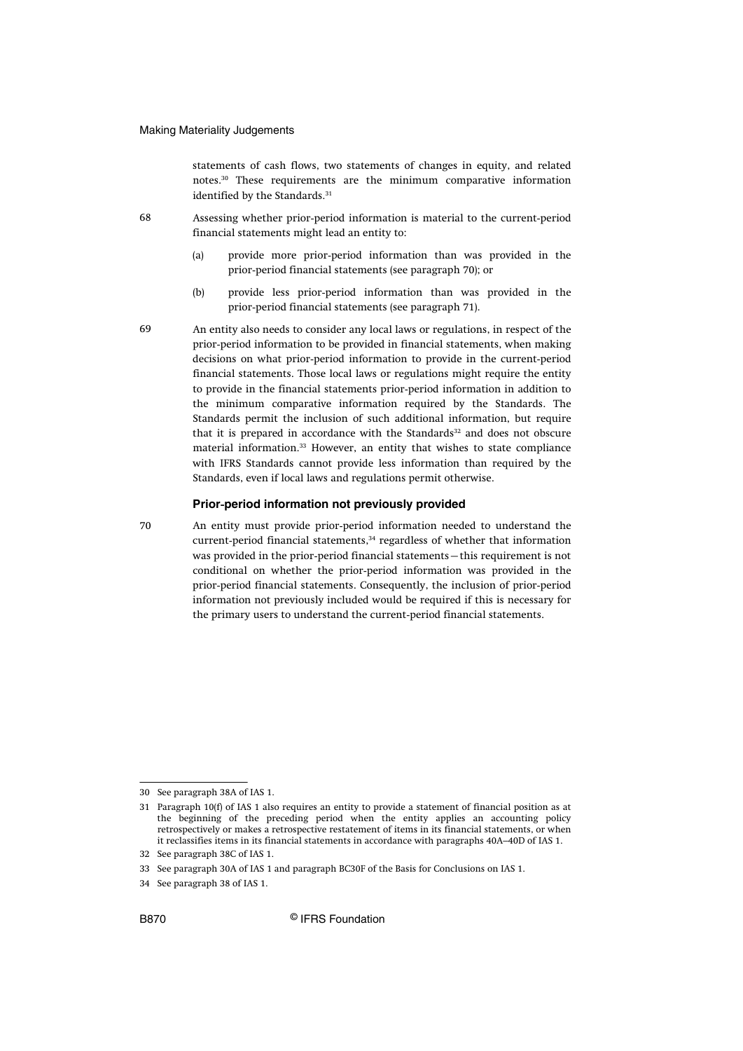<span id="page-23-0"></span>statements of cash flows, two statements of changes in equity, and related notes.<sup>30</sup> These requirements are the minimum comparative information identified by the Standards.<sup>31</sup>

- Assessing whether prior‑period information is material to the current‑period financial statements might lead an entity to: 68
	- (a) provide more prior‑period information than was provided in the prior‑period financial statements (see paragraph 70); or
	- (b) provide less prior‑period information than was provided in the prior‑period financial statements (see [paragraph 71](#page-24-0)).
- An entity also needs to consider any local laws or regulations, in respect of the prior‑period information to be provided in financial statements, when making decisions on what prior‑period information to provide in the current‑period financial statements. Those local laws or regulations might require the entity to provide in the financial statements prior‑period information in addition to the minimum comparative information required by the Standards. The Standards permit the inclusion of such additional information, but require that it is prepared in accordance with the Standards $32$  and does not obscure material information.<sup>33</sup> However, an entity that wishes to state compliance with IFRS Standards cannot provide less information than required by the Standards, even if local laws and regulations permit otherwise. 69

#### **Prior‑period information not previously provided**

An entity must provide prior‑period information needed to understand the current-period financial statements,<sup>34</sup> regardless of whether that information was provided in the prior-period financial statements - this requirement is not conditional on whether the prior‑period information was provided in the prior‑period financial statements. Consequently, the inclusion of prior‑period information not previously included would be required if this is necessary for the primary users to understand the current‑period financial statements.

70

<sup>30</sup> See paragraph 38A of IAS 1.

<sup>31</sup> Paragraph 10(f) of IAS 1 also requires an entity to provide a statement of financial position as at the beginning of the preceding period when the entity applies an accounting policy retrospectively or makes a retrospective restatement of items in its financial statements, or when it reclassifies items in its financial statements in accordance with paragraphs 40A–40D of IAS 1.

<sup>32</sup> See paragraph 38C of IAS 1.

<sup>33</sup> See paragraph 30A of IAS 1 and paragraph BC30F of the Basis for Conclusions on IAS 1.

<sup>34</sup> See paragraph 38 of IAS 1.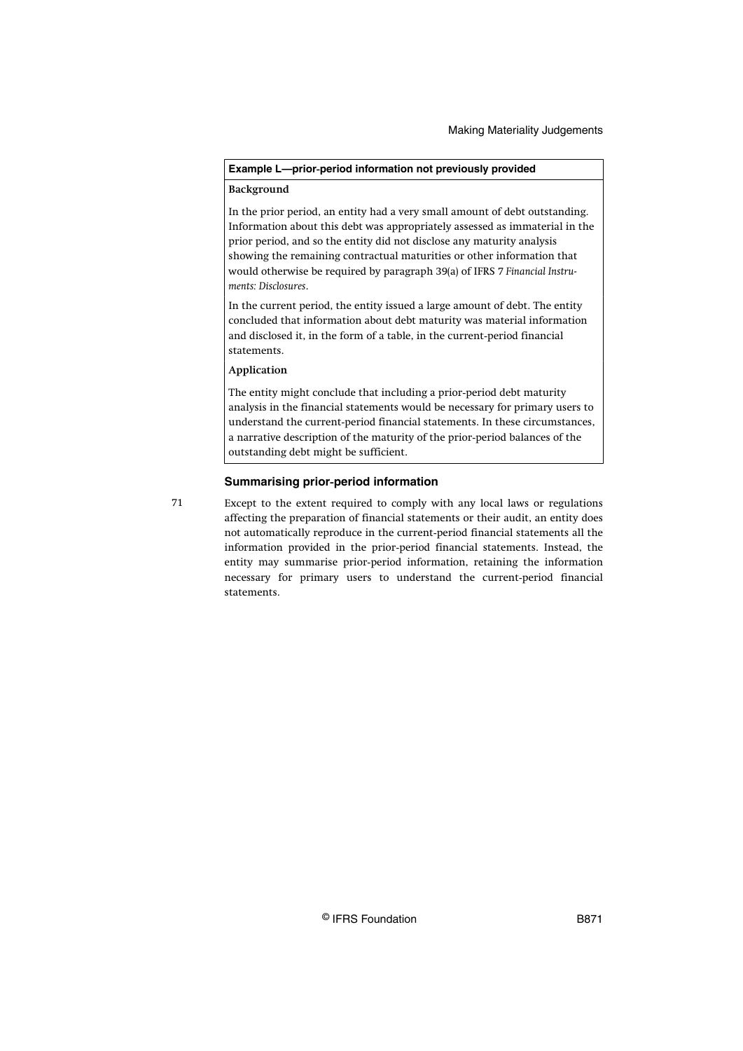### <span id="page-24-0"></span>**Example L—prior‑period information not previously provided**

# **Background**

In the prior period, an entity had a very small amount of debt outstanding. Information about this debt was appropriately assessed as immaterial in the prior period, and so the entity did not disclose any maturity analysis showing the remaining contractual maturities or other information that would otherwise be required by paragraph 39(a) of IFRS 7 *Financial Instruments: Disclosures*.

In the current period, the entity issued a large amount of debt. The entity concluded that information about debt maturity was material information and disclosed it, in the form of a table, in the current‑period financial statements.

### **Application**

The entity might conclude that including a prior-period debt maturity analysis in the financial statements would be necessary for primary users to understand the current‑period financial statements. In these circumstances, a narrative description of the maturity of the prior‑period balances of the outstanding debt might be sufficient.

#### **Summarising prior‑period information**

71

Except to the extent required to comply with any local laws or regulations affecting the preparation of financial statements or their audit, an entity does not automatically reproduce in the current‑period financial statements all the information provided in the prior‑period financial statements. Instead, the entity may summarise prior‑period information, retaining the information necessary for primary users to understand the current‑period financial statements.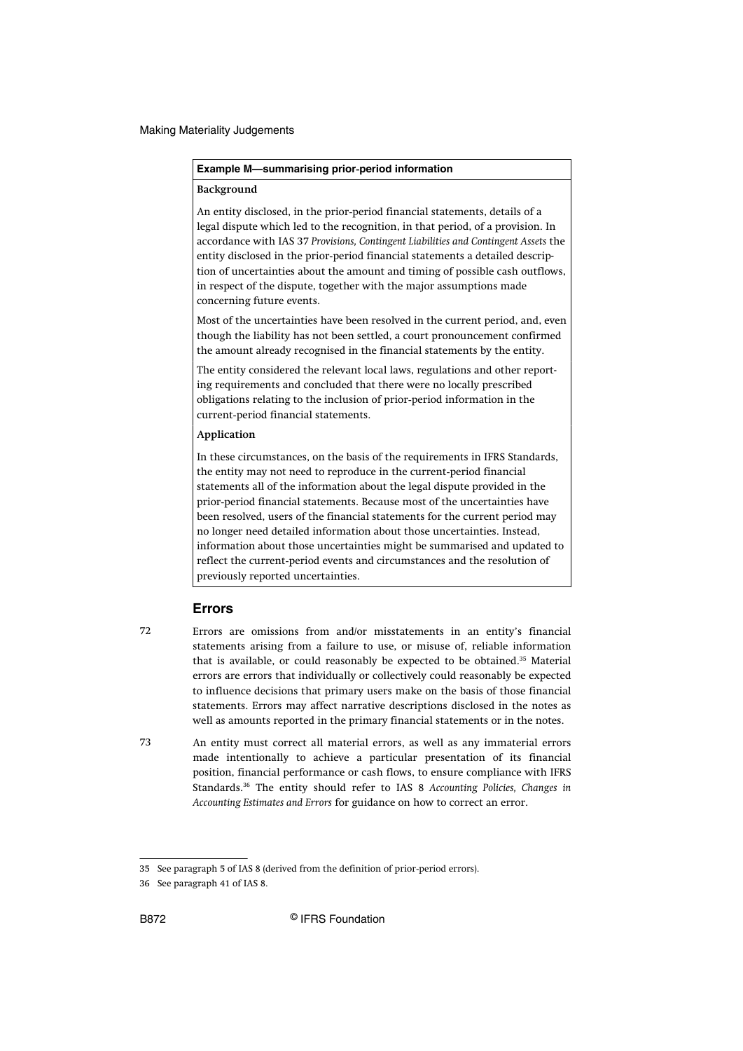#### <span id="page-25-0"></span>**Example M—summarising prior‑period information**

#### **Background**

An entity disclosed, in the prior‑period financial statements, details of a legal dispute which led to the recognition, in that period, of a provision. In accordance with IAS 37 *Provisions, Contingent Liabilities and Contingent Assets* the entity disclosed in the prior-period financial statements a detailed description of uncertainties about the amount and timing of possible cash outflows, in respect of the dispute, together with the major assumptions made concerning future events.

Most of the uncertainties have been resolved in the current period, and, even though the liability has not been settled, a court pronouncement confirmed the amount already recognised in the financial statements by the entity.

The entity considered the relevant local laws, regulations and other reporting requirements and concluded that there were no locally prescribed obligations relating to the inclusion of prior‑period information in the current‑period financial statements.

# **Application**

In these circumstances, on the basis of the requirements in IFRS Standards, the entity may not need to reproduce in the current‑period financial statements all of the information about the legal dispute provided in the prior‑period financial statements. Because most of the uncertainties have been resolved, users of the financial statements for the current period may no longer need detailed information about those uncertainties. Instead, information about those uncertainties might be summarised and updated to reflect the current‑period events and circumstances and the resolution of previously reported uncertainties.

# **Errors**

72

Errors are omissions from and/or misstatements in an entity's financial statements arising from a failure to use, or misuse of, reliable information that is available, or could reasonably be expected to be obtained.<sup>35</sup> Material errors are errors that individually or collectively could reasonably be expected to influence decisions that primary users make on the basis of those financial statements. Errors may affect narrative descriptions disclosed in the notes as well as amounts reported in the primary financial statements or in the notes.

An entity must correct all material errors, as well as any immaterial errors made intentionally to achieve a particular presentation of its financial position, financial performance or cash flows, to ensure compliance with IFRS Standards.<sup>36</sup> The entity should refer to IAS 8 *Accounting Policies, Changes in Accounting Estimates and Errors* for guidance on how to correct an error. 73

<sup>35</sup> See paragraph 5 of IAS 8 (derived from the definition of prior‑period errors).

<sup>36</sup> See paragraph 41 of IAS 8.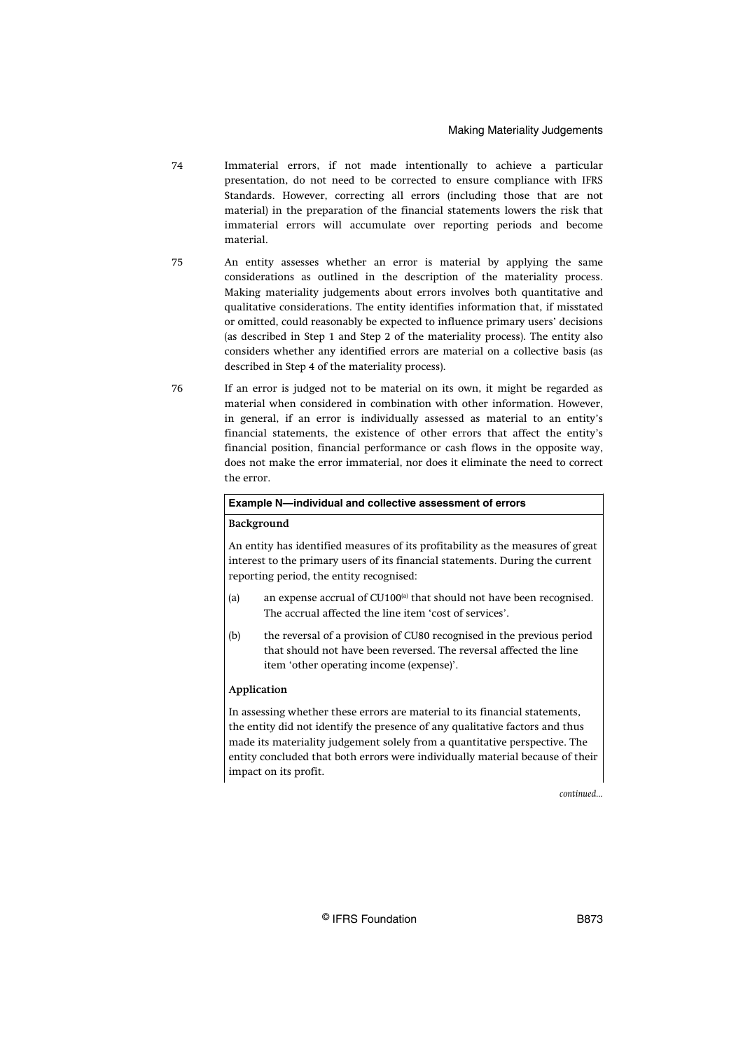- Immaterial errors, if not made intentionally to achieve a particular presentation, do not need to be corrected to ensure compliance with IFRS Standards. However, correcting all errors (including those that are not material) in the preparation of the financial statements lowers the risk that immaterial errors will accumulate over reporting periods and become material. 74
- An entity assesses whether an error is material by applying the same considerations as outlined in the description of the materiality process. Making materiality judgements about errors involves both quantitative and qualitative considerations. The entity identifies information that, if misstated or omitted, could reasonably be expected to influence primary users' decisions (as described in [Step 1](#page-14-0) and [Step 2](#page-15-0) of the materiality process). The entity also considers whether any identified errors are material on a collective basis (as described in [Step 4](#page-21-0) of the materiality process). 75
- If an error is judged not to be material on its own, it might be regarded as material when considered in combination with other information. However, in general, if an error is individually assessed as material to an entity's financial statements, the existence of other errors that affect the entity's financial position, financial performance or cash flows in the opposite way, does not make the error immaterial, nor does it eliminate the need to correct the error. 76

### **Example N—individual and collective assessment of errors**

### **Background**

An entity has identified measures of its profitability as the measures of great interest to the primary users of its financial statements. During the current reporting period, the entity recognised:

- (a) an expense accrual of  $CU100^{(a)}$  that should not have been recognised. The accrual affected the line item 'cost of services'.
- (b) the reversal of a provision of CU80 recognised in the previous period that should not have been reversed. The reversal affected the line item 'other operating income (expense)'.

### **Application**

In assessing whether these errors are material to its financial statements, the entity did not identify the presence of any qualitative factors and thus made its materiality judgement solely from a quantitative perspective. The entity concluded that both errors were individually material because of their impact on its profit.

*continued...*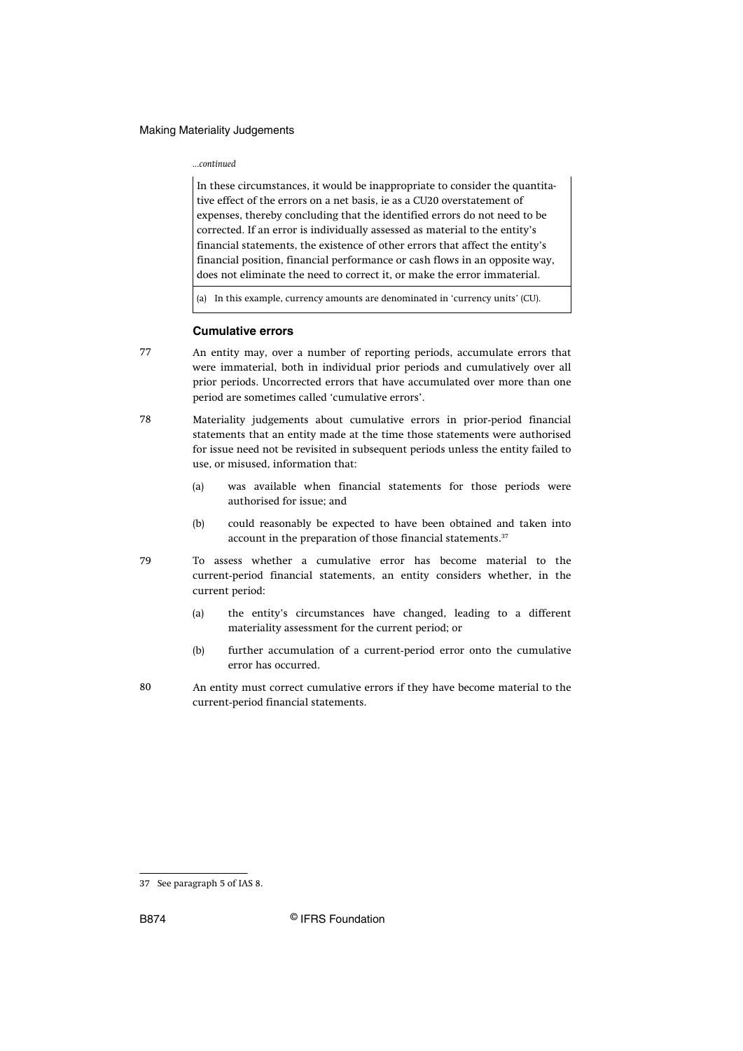<span id="page-27-0"></span>*...continued*

In these circumstances, it would be inappropriate to consider the quantitative effect of the errors on a net basis, ie as a CU20 overstatement of expenses, thereby concluding that the identified errors do not need to be corrected. If an error is individually assessed as material to the entity's financial statements, the existence of other errors that affect the entity's financial position, financial performance or cash flows in an opposite way, does not eliminate the need to correct it, or make the error immaterial.

(a) In this example, currency amounts are denominated in 'currency units' (CU).

#### **Cumulative errors**

- An entity may, over a number of reporting periods, accumulate errors that were immaterial, both in individual prior periods and cumulatively over all prior periods. Uncorrected errors that have accumulated over more than one period are sometimes called 'cumulative errors'. 77
- Materiality judgements about cumulative errors in prior‑period financial statements that an entity made at the time those statements were authorised for issue need not be revisited in subsequent periods unless the entity failed to use, or misused, information that: 78
	- (a) was available when financial statements for those periods were authorised for issue; and
	- (b) could reasonably be expected to have been obtained and taken into account in the preparation of those financial statements.<sup>37</sup>
- To assess whether a cumulative error has become material to the current‑period financial statements, an entity considers whether, in the current period: 79
	- (a) the entity's circumstances have changed, leading to a different materiality assessment for the current period; or
	- (b) further accumulation of a current‑period error onto the cumulative error has occurred.
- An entity must correct cumulative errors if they have become material to the current‑period financial statements. 80

37 See paragraph 5 of IAS 8.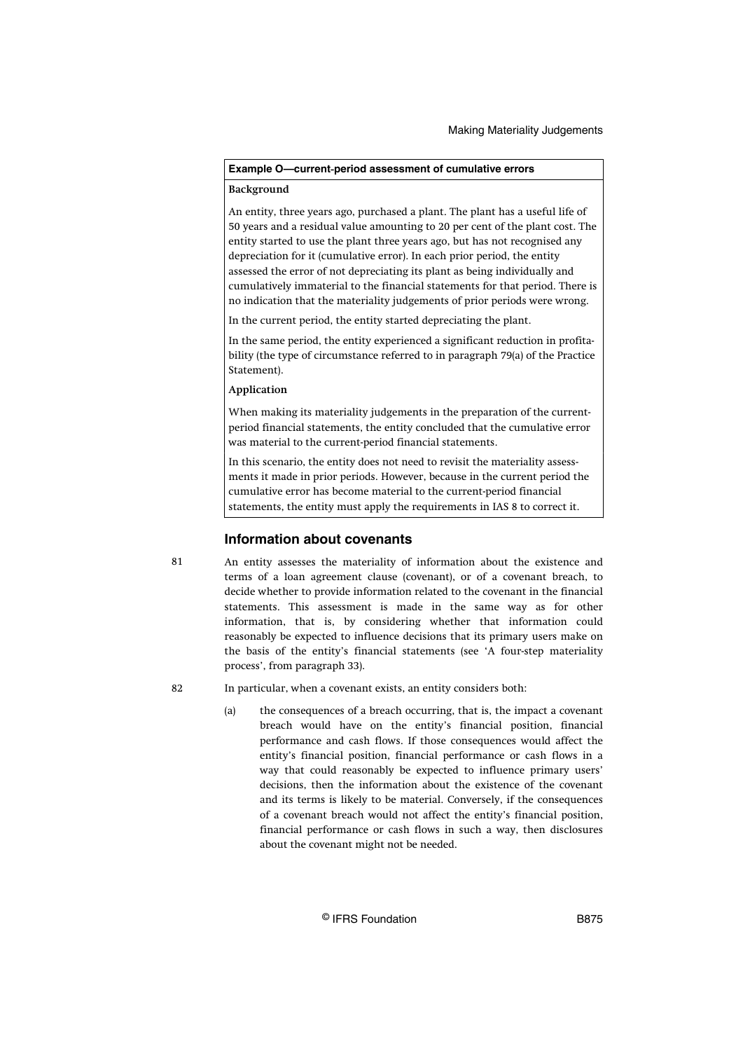### <span id="page-28-0"></span>**Example O—current‑period assessment of cumulative errors**

## **Background**

An entity, three years ago, purchased a plant. The plant has a useful life of 50 years and a residual value amounting to 20 per cent of the plant cost. The entity started to use the plant three years ago, but has not recognised any depreciation for it (cumulative error). In each prior period, the entity assessed the error of not depreciating its plant as being individually and cumulatively immaterial to the financial statements for that period. There is no indication that the materiality judgements of prior periods were wrong.

In the current period, the entity started depreciating the plant.

In the same period, the entity experienced a significant reduction in profitability (the type of circumstance referred to in paragraph 79(a) of the Practice Statement).

#### **Application**

When making its materiality judgements in the preparation of the currentperiod financial statements, the entity concluded that the cumulative error was material to the current-period financial statements.

In this scenario, the entity does not need to revisit the materiality assessments it made in prior periods. However, because in the current period the cumulative error has become material to the current-period financial statements, the entity must apply the requirements in IAS 8 to correct it.

# **Information about covenants**

An entity assesses the materiality of information about the existence and terms of a loan agreement clause (covenant), or of a covenant breach, to decide whether to provide information related to the covenant in the financial statements. This assessment is made in the same way as for other information, that is, by considering whether that information could reasonably be expected to influence decisions that its primary users make on the basis of the entity's financial statements (see 'A four-step materiality process', from [paragraph 33\)](#page-13-0).

82

81

- In particular, when a covenant exists, an entity considers both:
	- (a) the consequences of a breach occurring, that is, the impact a covenant breach would have on the entity's financial position, financial performance and cash flows. If those consequences would affect the entity's financial position, financial performance or cash flows in a way that could reasonably be expected to influence primary users' decisions, then the information about the existence of the covenant and its terms is likely to be material. Conversely, if the consequences of a covenant breach would not affect the entity's financial position, financial performance or cash flows in such a way, then disclosures about the covenant might not be needed.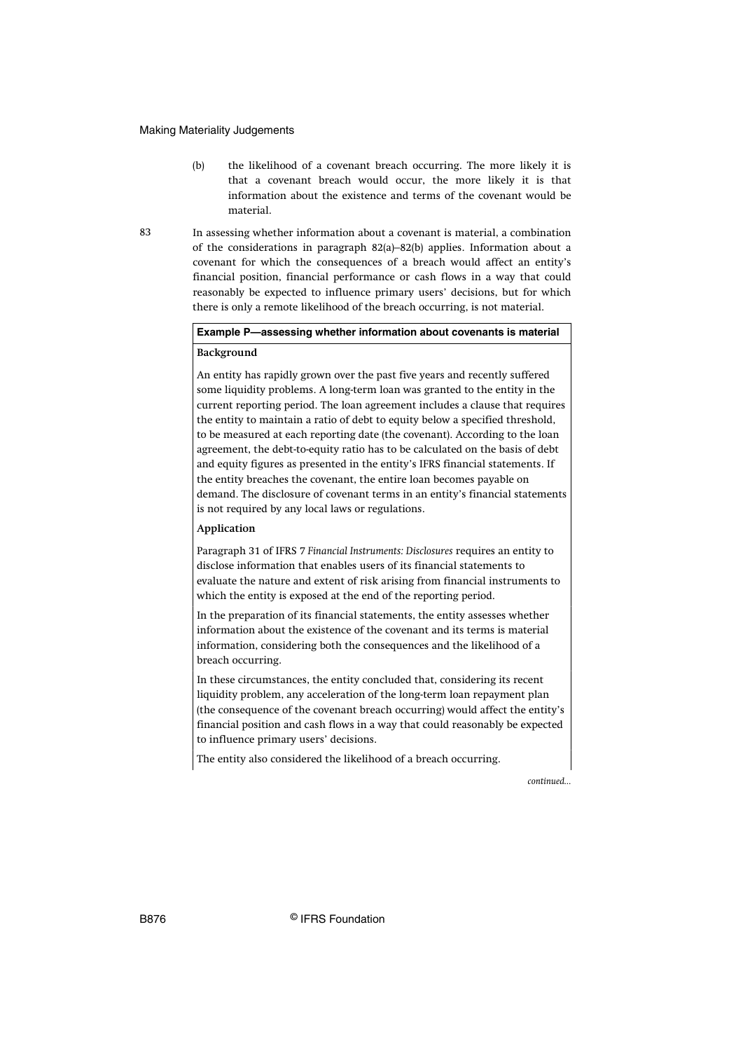- (b) the likelihood of a covenant breach occurring. The more likely it is that a covenant breach would occur, the more likely it is that information about the existence and terms of the covenant would be material.
- In assessing whether information about a covenant is material, a combination of the considerations in paragraph 82(a)–82(b) applies. Information about a covenant for which the consequences of a breach would affect an entity's financial position, financial performance or cash flows in a way that could reasonably be expected to influence primary users' decisions, but for which there is only a remote likelihood of the breach occurring, is not material.

# **Example P—assessing whether information about covenants is material Background**

An entity has rapidly grown over the past five years and recently suffered some liquidity problems. A long-term loan was granted to the entity in the current reporting period. The loan agreement includes a clause that requires the entity to maintain a ratio of debt to equity below a specified threshold, to be measured at each reporting date (the covenant). According to the loan agreement, the debt-to-equity ratio has to be calculated on the basis of debt and equity figures as presented in the entity's IFRS financial statements. If the entity breaches the covenant, the entire loan becomes payable on demand. The disclosure of covenant terms in an entity's financial statements is not required by any local laws or regulations.

#### **Application**

Paragraph 31 of IFRS 7 *Financial Instruments: Disclosures* requires an entity to disclose information that enables users of its financial statements to evaluate the nature and extent of risk arising from financial instruments to which the entity is exposed at the end of the reporting period.

In the preparation of its financial statements, the entity assesses whether information about the existence of the covenant and its terms is material information, considering both the consequences and the likelihood of a breach occurring.

In these circumstances, the entity concluded that, considering its recent liquidity problem, any acceleration of the long-term loan repayment plan (the consequence of the covenant breach occurring) would affect the entity's financial position and cash flows in a way that could reasonably be expected to influence primary users' decisions.

The entity also considered the likelihood of a breach occurring.

*continued...*

83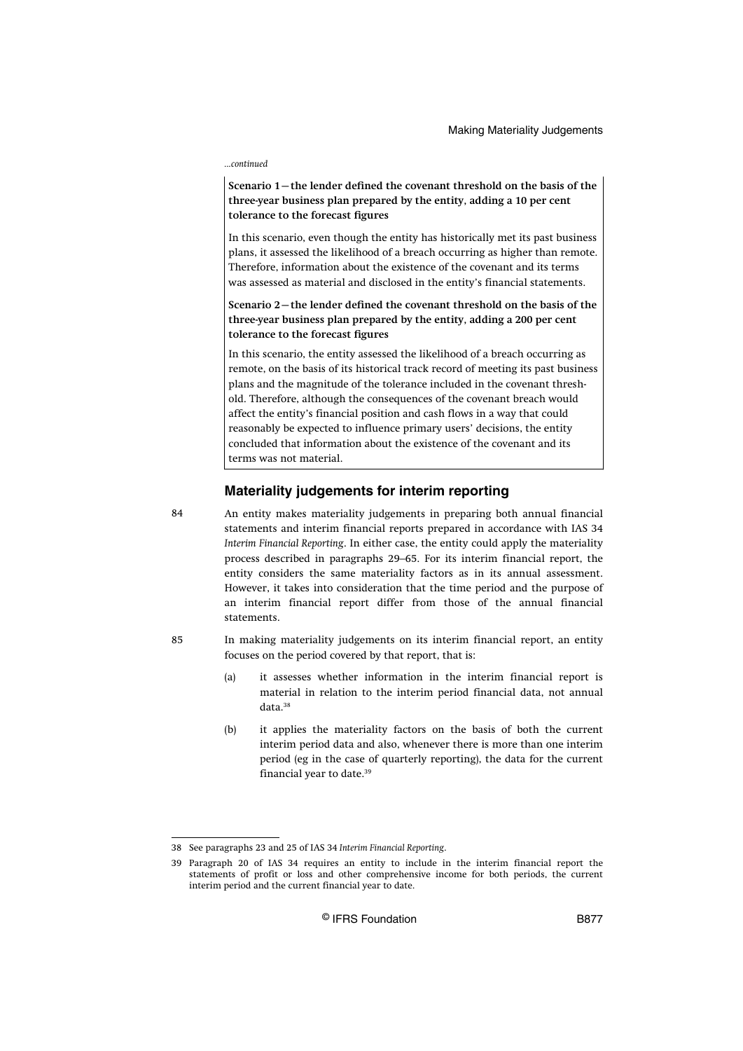#### <span id="page-30-0"></span>*...continued*

84

**Scenario 1—the lender defined the covenant threshold on the basis of the three-year business plan prepared by the entity, adding a 10 per cent tolerance to the forecast figures**

In this scenario, even though the entity has historically met its past business plans, it assessed the likelihood of a breach occurring as higher than remote. Therefore, information about the existence of the covenant and its terms was assessed as material and disclosed in the entity's financial statements.

**Scenario 2—the lender defined the covenant threshold on the basis of the three-year business plan prepared by the entity, adding a 200 per cent tolerance to the forecast figures**

In this scenario, the entity assessed the likelihood of a breach occurring as remote, on the basis of its historical track record of meeting its past business plans and the magnitude of the tolerance included in the covenant threshold. Therefore, although the consequences of the covenant breach would affect the entity's financial position and cash flows in a way that could reasonably be expected to influence primary users' decisions, the entity concluded that information about the existence of the covenant and its terms was not material.

# **Materiality judgements for interim reporting**

- An entity makes materiality judgements in preparing both annual financial statements and interim financial reports prepared in accordance with IAS 34 *Interim Financial Reporting*. In either case, the entity could apply the materiality process described in [paragraphs 29–65](#page-13-0). For its interim financial report, the entity considers the same materiality factors as in its annual assessment. However, it takes into consideration that the time period and the purpose of an interim financial report differ from those of the annual financial statements.
- In making materiality judgements on its interim financial report, an entity focuses on the period covered by that report, that is:  $95$ 
	- (a) it assesses whether information in the interim financial report is material in relation to the interim period financial data, not annual data.<sup>38</sup>
	- (b) it applies the materiality factors on the basis of both the current interim period data and also, whenever there is more than one interim period (eg in the case of quarterly reporting), the data for the current financial year to date.<sup>39</sup>

<sup>38</sup> See paragraphs 23 and 25 of IAS 34 *Interim Financial Reporting*.

<sup>39</sup> Paragraph 20 of IAS 34 requires an entity to include in the interim financial report the statements of profit or loss and other comprehensive income for both periods, the current interim period and the current financial year to date.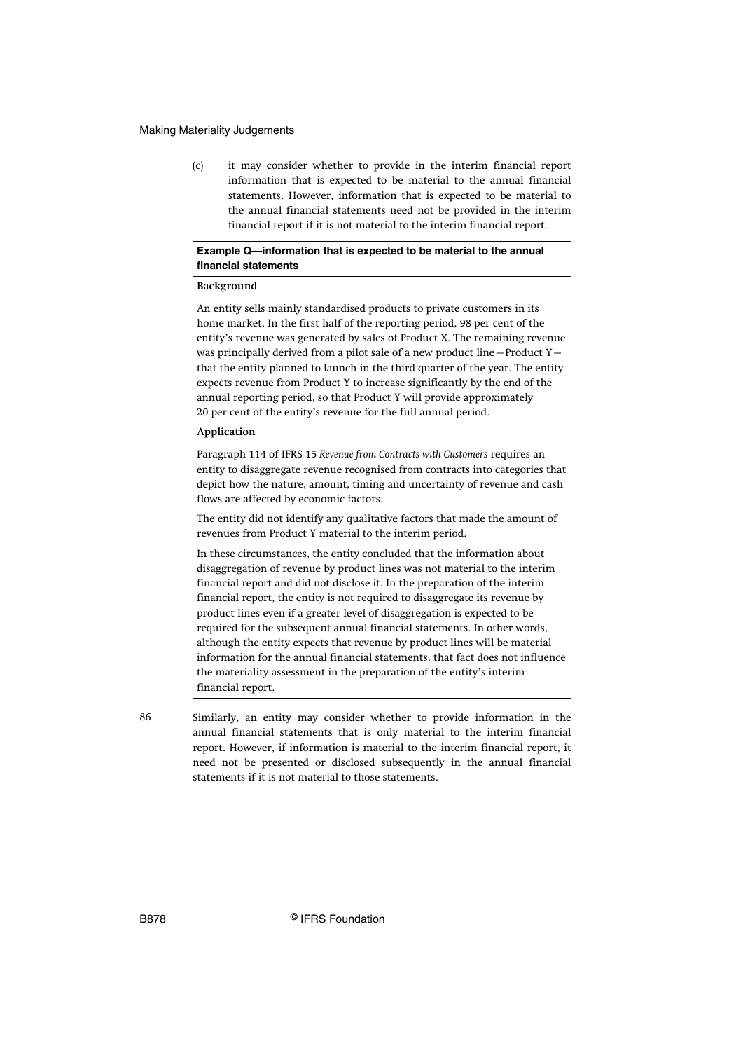(c) it may consider whether to provide in the interim financial report information that is expected to be material to the annual financial statements. However, information that is expected to be material to the annual financial statements need not be provided in the interim financial report if it is not material to the interim financial report.

# **Example Q—information that is expected to be material to the annual financial statements**

# **Background**

An entity sells mainly standardised products to private customers in its home market. In the first half of the reporting period, 98 per cent of the entity's revenue was generated by sales of Product X. The remaining revenue was principally derived from a pilot sale of a new product line—Product Y that the entity planned to launch in the third quarter of the year. The entity expects revenue from Product Y to increase significantly by the end of the annual reporting period, so that Product Y will provide approximately 20 per cent of the entity's revenue for the full annual period.

### **Application**

Paragraph 114 of IFRS 15 *Revenue from Contracts with Customers* requires an entity to disaggregate revenue recognised from contracts into categories that depict how the nature, amount, timing and uncertainty of revenue and cash flows are affected by economic factors.

The entity did not identify any qualitative factors that made the amount of revenues from Product Y material to the interim period.

In these circumstances, the entity concluded that the information about disaggregation of revenue by product lines was not material to the interim financial report and did not disclose it. In the preparation of the interim financial report, the entity is not required to disaggregate its revenue by product lines even if a greater level of disaggregation is expected to be required for the subsequent annual financial statements. In other words, although the entity expects that revenue by product lines will be material information for the annual financial statements, that fact does not influence the materiality assessment in the preparation of the entity's interim financial report.

86

Similarly, an entity may consider whether to provide information in the annual financial statements that is only material to the interim financial report. However, if information is material to the interim financial report, it need not be presented or disclosed subsequently in the annual financial statements if it is not material to those statements.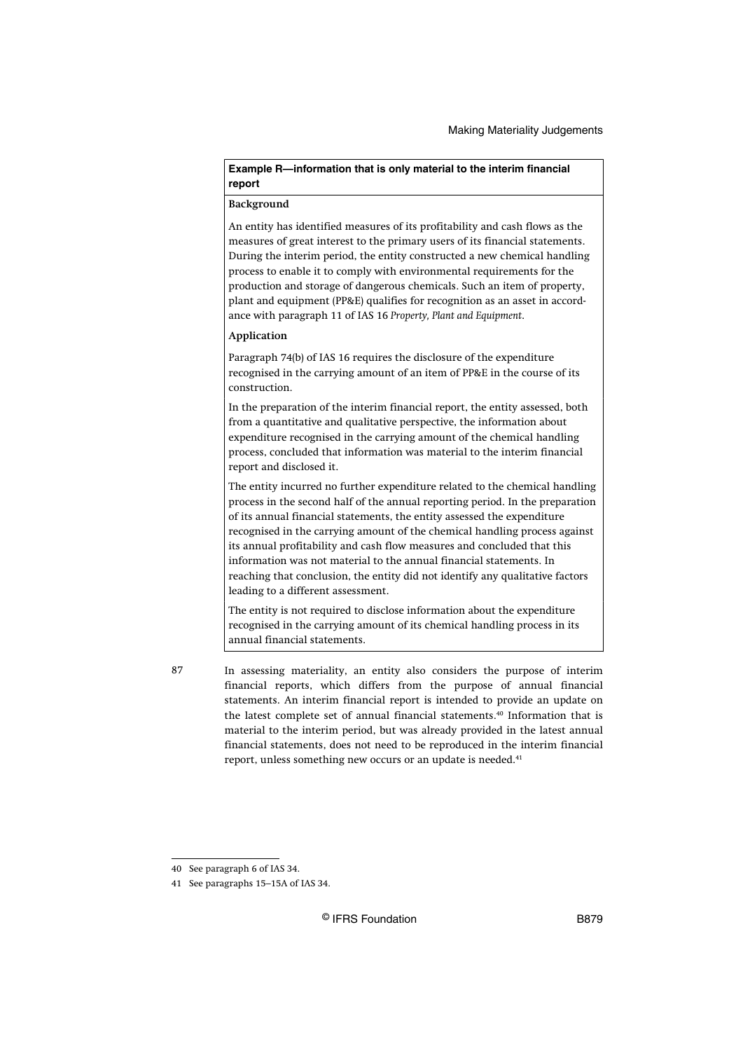# **Example R—information that is only material to the interim financial report**

### **Background**

An entity has identified measures of its profitability and cash flows as the measures of great interest to the primary users of its financial statements. During the interim period, the entity constructed a new chemical handling process to enable it to comply with environmental requirements for the production and storage of dangerous chemicals. Such an item of property, plant and equipment (PP&E) qualifies for recognition as an asset in accordance with paragraph 11 of IAS 16 *Property, Plant and Equipment*.

#### **Application**

Paragraph 74(b) of IAS 16 requires the disclosure of the expenditure recognised in the carrying amount of an item of PP&E in the course of its construction.

In the preparation of the interim financial report, the entity assessed, both from a quantitative and qualitative perspective, the information about expenditure recognised in the carrying amount of the chemical handling process, concluded that information was material to the interim financial report and disclosed it.

The entity incurred no further expenditure related to the chemical handling process in the second half of the annual reporting period. In the preparation of its annual financial statements, the entity assessed the expenditure recognised in the carrying amount of the chemical handling process against its annual profitability and cash flow measures and concluded that this information was not material to the annual financial statements. In reaching that conclusion, the entity did not identify any qualitative factors leading to a different assessment.

The entity is not required to disclose information about the expenditure recognised in the carrying amount of its chemical handling process in its annual financial statements.

In assessing materiality, an entity also considers the purpose of interim financial reports, which differs from the purpose of annual financial statements. An interim financial report is intended to provide an update on the latest complete set of annual financial statements.<sup>40</sup> Information that is material to the interim period, but was already provided in the latest annual financial statements, does not need to be reproduced in the interim financial report, unless something new occurs or an update is needed.<sup>41</sup>

87

© IFRS Foundation B879

<sup>40</sup> See paragraph 6 of IAS 34.

<sup>41</sup> See paragraphs 15–15A of IAS 34.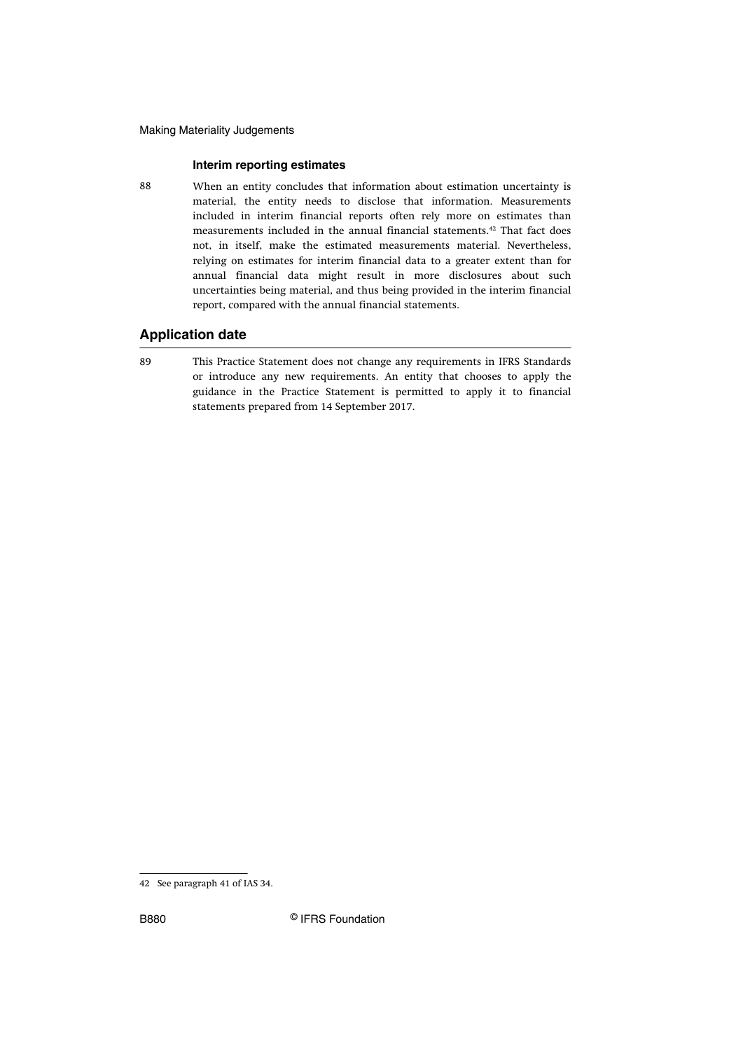### **Interim reporting estimates**

<span id="page-33-0"></span>When an entity concludes that information about estimation uncertainty is material, the entity needs to disclose that information. Measurements included in interim financial reports often rely more on estimates than measurements included in the annual financial statements.<sup>42</sup> That fact does not, in itself, make the estimated measurements material. Nevertheless, relying on estimates for interim financial data to a greater extent than for annual financial data might result in more disclosures about such uncertainties being material, and thus being provided in the interim financial report, compared with the annual financial statements. 88

# **Application date**

89

This Practice Statement does not change any requirements in IFRS Standards or introduce any new requirements. An entity that chooses to apply the guidance in the Practice Statement is permitted to apply it to financial statements prepared from 14 September 2017.

<sup>42</sup> See paragraph 41 of IAS 34.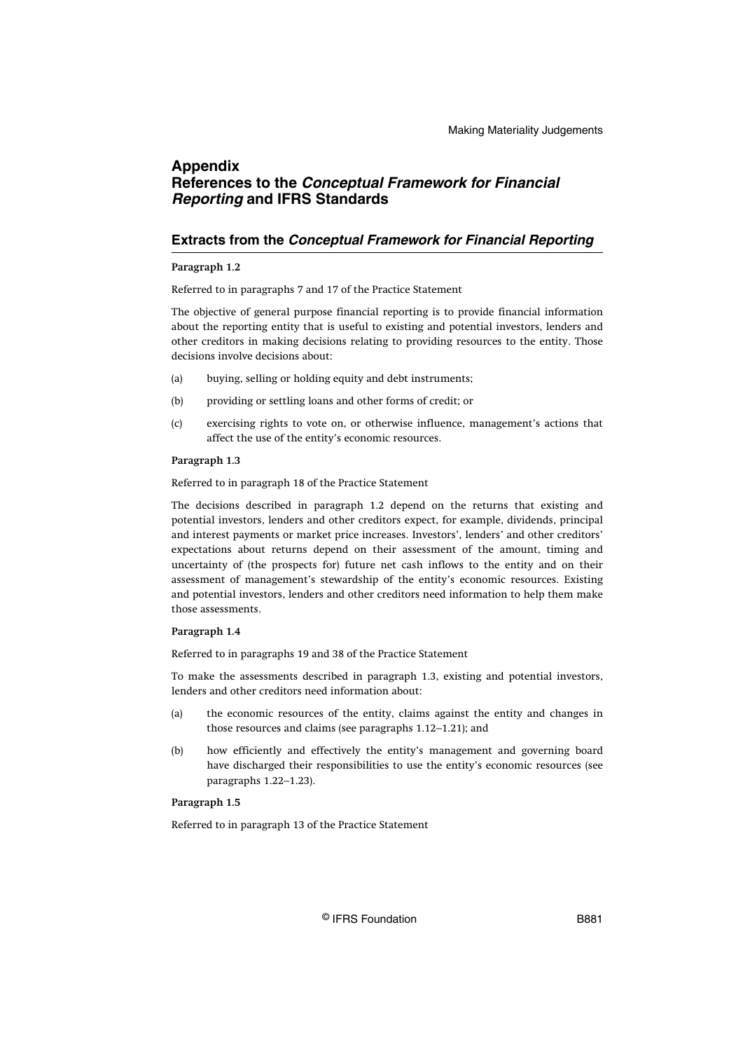# <span id="page-34-0"></span>**Appendix References to the Conceptual Framework for Financial Reporting and IFRS Standards**

# **Extracts from the Conceptual Framework for Financial Reporting**

### **Paragraph 1.2**

Referred to in paragraphs 7 and 17 of the Practice Statement

The objective of general purpose financial reporting is to provide financial information about the reporting entity that is useful to existing and potential investors, lenders and other creditors in making decisions relating to providing resources to the entity. Those decisions involve decisions about:

- (a) buying, selling or holding equity and debt instruments;
- (b) providing or settling loans and other forms of credit; or
- (c) exercising rights to vote on, or otherwise influence, management's actions that affect the use of the entity's economic resources.

#### **Paragraph 1.3**

Referred to in paragraph 18 of the Practice Statement

The decisions described in paragraph 1.2 depend on the returns that existing and potential investors, lenders and other creditors expect, for example, dividends, principal and interest payments or market price increases. Investors', lenders' and other creditors' expectations about returns depend on their assessment of the amount, timing and uncertainty of (the prospects for) future net cash inflows to the entity and on their assessment of management's stewardship of the entity's economic resources. Existing and potential investors, lenders and other creditors need information to help them make those assessments.

#### **Paragraph 1.4**

Referred to in paragraphs 19 and 38 of the Practice Statement

To make the assessments described in paragraph 1.3, existing and potential investors, lenders and other creditors need information about:

- (a) the economic resources of the entity, claims against the entity and changes in those resources and claims (see paragraphs 1.12–1.21); and
- (b) how efficiently and effectively the entity's management and governing board have discharged their responsibilities to use the entity's economic resources (see paragraphs 1.22–1.23).

### **Paragraph 1.5**

Referred to in [paragraph 13](#page-8-0) of the Practice Statement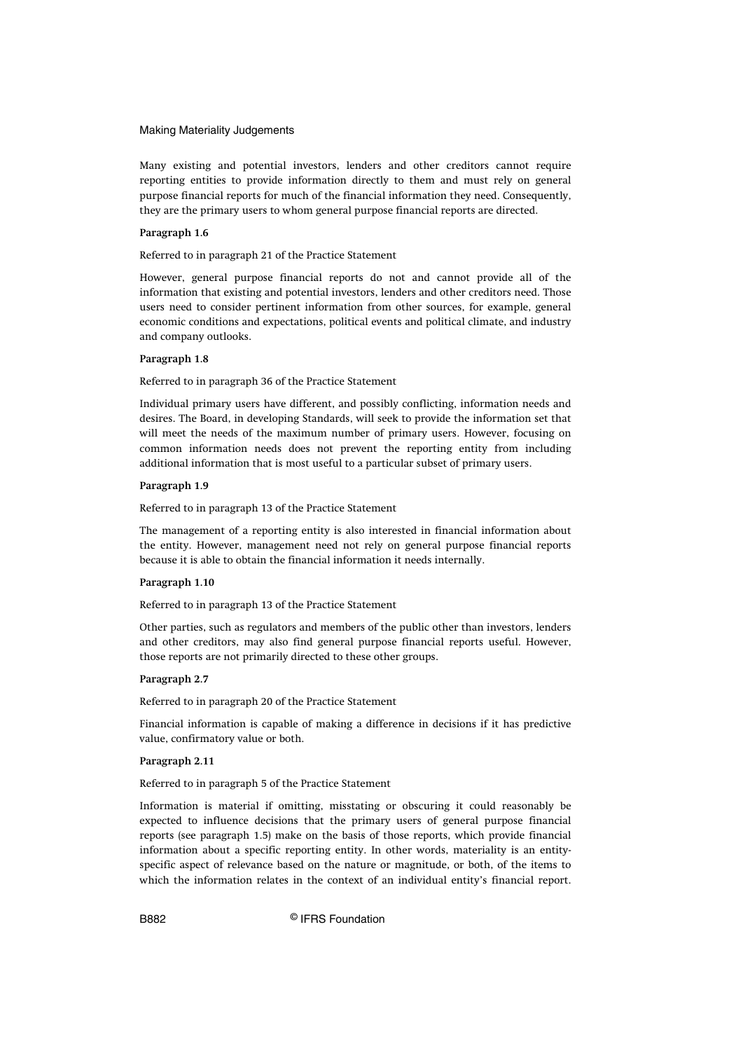Many existing and potential investors, lenders and other creditors cannot require reporting entities to provide information directly to them and must rely on general purpose financial reports for much of the financial information they need. Consequently, they are the primary users to whom general purpose financial reports are directed.

### **Paragraph 1.6**

Referred to in [paragraph 21](#page-9-0) of the Practice Statement

However, general purpose financial reports do not and cannot provide all of the information that existing and potential investors, lenders and other creditors need. Those users need to consider pertinent information from other sources, for example, general economic conditions and expectations, political events and political climate, and industry and company outlooks.

#### **Paragraph 1.8**

Referred to in paragraph 36 of the Practice Statement

Individual primary users have different, and possibly conflicting, information needs and desires. The Board, in developing Standards, will seek to provide the information set that will meet the needs of the maximum number of primary users. However, focusing on common information needs does not prevent the reporting entity from including additional information that is most useful to a particular subset of primary users.

#### **Paragraph 1.9**

Referred to in [paragraph 13](#page-8-0) of the Practice Statement

The management of a reporting entity is also interested in financial information about the entity. However, management need not rely on general purpose financial reports because it is able to obtain the financial information it needs internally.

## **Paragraph 1.10**

Referred to in [paragraph 13](#page-8-0) of the Practice Statement

Other parties, such as regulators and members of the public other than investors, lenders and other creditors, may also find general purpose financial reports useful. However, those reports are not primarily directed to these other groups.

#### **Paragraph 2.7**

Referred to in paragraph 20 of the Practice Statement

Financial information is capable of making a difference in decisions if it has predictive value, confirmatory value or both.

# **Paragraph 2.11**

Referred to in [paragraph 5](#page-4-0) of the Practice Statement

Information is material if omitting, misstating or obscuring it could reasonably be expected to influence decisions that the primary users of general purpose financial reports (see paragraph 1.5) make on the basis of those reports, which provide financial information about a specific reporting entity. In other words, materiality is an entityspecific aspect of relevance based on the nature or magnitude, or both, of the items to which the information relates in the context of an individual entity's financial report.

B882 **CONFIDENTIAL CONTRACT CONTRACT CONTROL**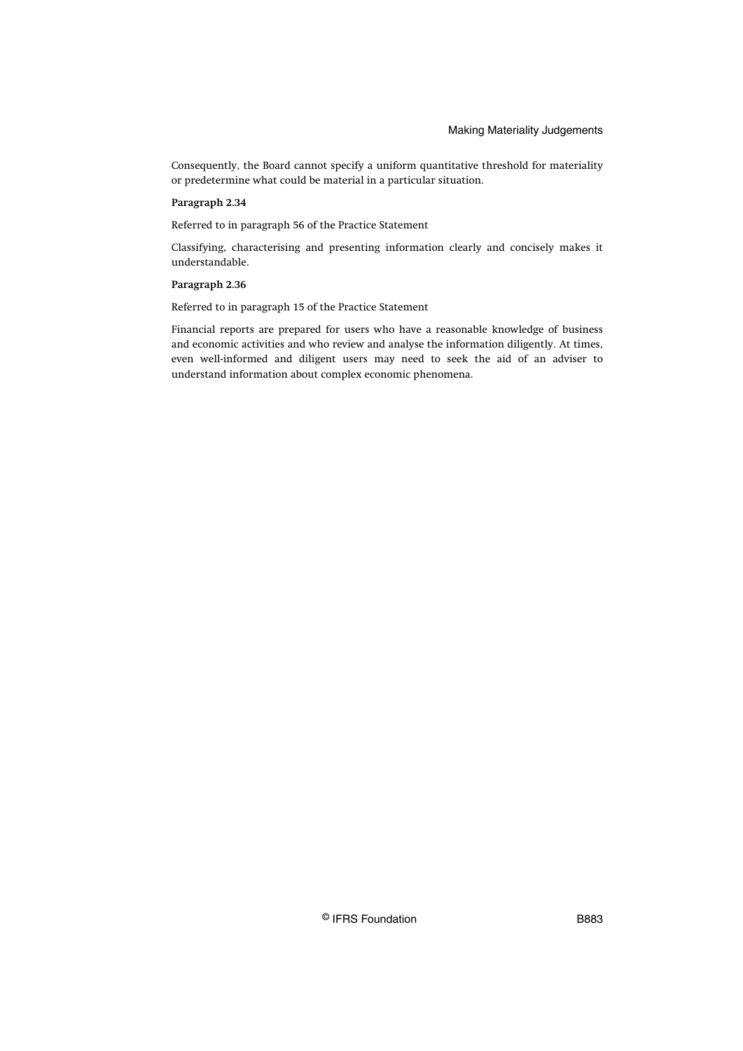Consequently, the Board cannot specify a uniform quantitative threshold for materiality or predetermine what could be material in a particular situation.

#### **Paragraph 2.34**

Referred to in [paragraph 56](#page-20-0) of the Practice Statement

Classifying, characterising and presenting information clearly and concisely makes it understandable.

# **Paragraph 2.36**

Referred to in paragraph 15 of the Practice Statement

Financial reports are prepared for users who have a reasonable knowledge of business and economic activities and who review and analyse the information diligently. At times, even well-informed and diligent users may need to seek the aid of an adviser to understand information about complex economic phenomena.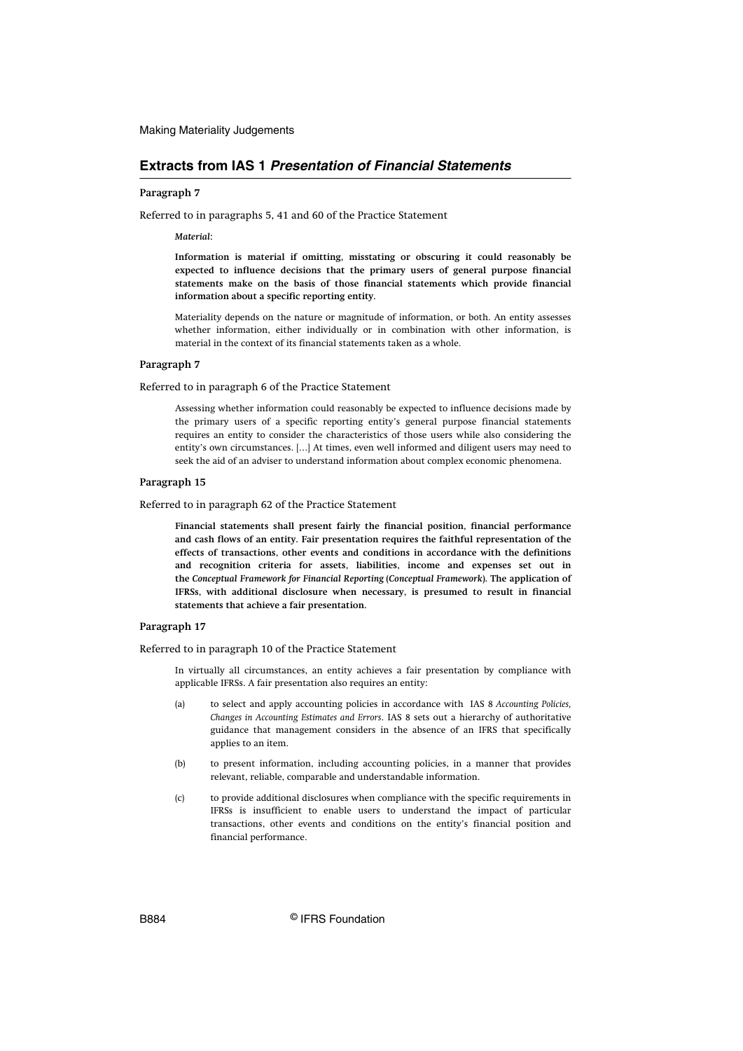# **Extracts from IAS 1 Presentation of Financial Statements**

#### **Paragraph 7**

Referred to in [paragraphs 5](#page-4-0), 41 and [60](#page-21-0) of the Practice Statement

*Material***:**

**Information is material if omitting, misstating or obscuring it could reasonably be expected to influence decisions that the primary users of general purpose financial statements make on the basis of those financial statements which provide financial information about a specific reporting entity.**

Materiality depends on the nature or magnitude of information, or both. An entity assesses whether information, either individually or in combination with other information, is material in the context of its financial statements taken as a whole.

#### **Paragraph 7**

Referred to in paragraph 6 of the Practice Statement

Assessing whether information could reasonably be expected to influence decisions made by the primary users of a specific reporting entity's general purpose financial statements requires an entity to consider the characteristics of those users while also considering the entity's own circumstances. […] At times, even well informed and diligent users may need to seek the aid of an adviser to understand information about complex economic phenomena.

#### **Paragraph 15**

Referred to in paragraph 62 of the Practice Statement

**Financial statements shall present fairly the financial position, financial performance and cash flows of an entity. Fair presentation requires the faithful representation of the effects of transactions, other events and conditions in accordance with the definitions and recognition criteria for assets, liabilities, income and expenses set out in the** *Conceptual Framework for Financial Reporting* **(***Conceptual Framework***). The application of IFRSs, with additional disclosure when necessary, is presumed to result in financial statements that achieve a fair presentation.**

### **Paragraph 17**

Referred to in [paragraph 10](#page-6-0) of the Practice Statement

In virtually all circumstances, an entity achieves a fair presentation by compliance with applicable IFRSs. A fair presentation also requires an entity:

- (a) to select and apply accounting policies in accordance with IAS 8 *Accounting Policies, Changes in Accounting Estimates and Errors*. IAS 8 sets out a hierarchy of authoritative guidance that management considers in the absence of an IFRS that specifically applies to an item.
- (b) to present information, including accounting policies, in a manner that provides relevant, reliable, comparable and understandable information.
- (c) to provide additional disclosures when compliance with the specific requirements in IFRSs is insufficient to enable users to understand the impact of particular transactions, other events and conditions on the entity's financial position and financial performance.

B884 **CONFIDENTIAL CONTRACT CONTRACT CONTROL**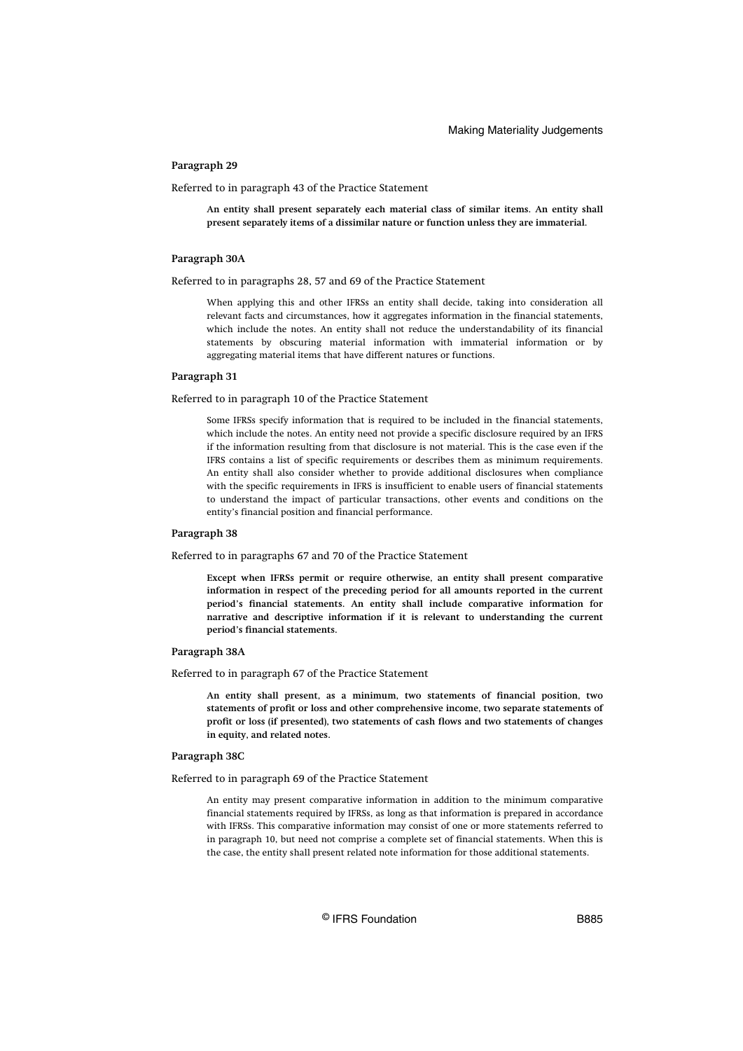### **Paragraph 29**

Referred to in paragraph 43 of the Practice Statement

**An entity shall present separately each material class of similar items. An entity shall present separately items of a dissimilar nature or function unless they are immaterial.**

#### **Paragraph 30A**

Referred to in paragraphs 28, 57 and 69 of the Practice Statement

When applying this and other IFRSs an entity shall decide, taking into consideration all relevant facts and circumstances, how it aggregates information in the financial statements, which include the notes. An entity shall not reduce the understandability of its financial statements by obscuring material information with immaterial information or by aggregating material items that have different natures or functions.

#### **Paragraph 31**

Referred to in [paragraph 10](#page-6-0) of the Practice Statement

Some IFRSs specify information that is required to be included in the financial statements, which include the notes. An entity need not provide a specific disclosure required by an IFRS if the information resulting from that disclosure is not material. This is the case even if the IFRS contains a list of specific requirements or describes them as minimum requirements. An entity shall also consider whether to provide additional disclosures when compliance with the specific requirements in IFRS is insufficient to enable users of financial statements to understand the impact of particular transactions, other events and conditions on the entity's financial position and financial performance.

#### **Paragraph 38**

Referred to in paragraphs 67 and [70](#page-23-0) of the Practice Statement

**Except when IFRSs permit or require otherwise, an entity shall present comparative information in respect of the preceding period for all amounts reported in the current period's financial statements. An entity shall include comparative information for narrative and descriptive information if it is relevant to understanding the current period's financial statements.**

### **Paragraph 38A**

Referred to in paragraph 67 of the Practice Statement

**An entity shall present, as a minimum, two statements of financial position, two statements of profit or loss and other comprehensive income, two separate statements of profit or loss (if presented), two statements of cash flows and two statements of changes in equity, and related notes.**

#### **Paragraph 38C**

Referred to in paragraph 69 of the Practice Statement

An entity may present comparative information in addition to the minimum comparative financial statements required by IFRSs, as long as that information is prepared in accordance with IFRSs. This comparative information may consist of one or more statements referred to in [paragraph 10,](#page-6-0) but need not comprise a complete set of financial statements. When this is the case, the entity shall present related note information for those additional statements.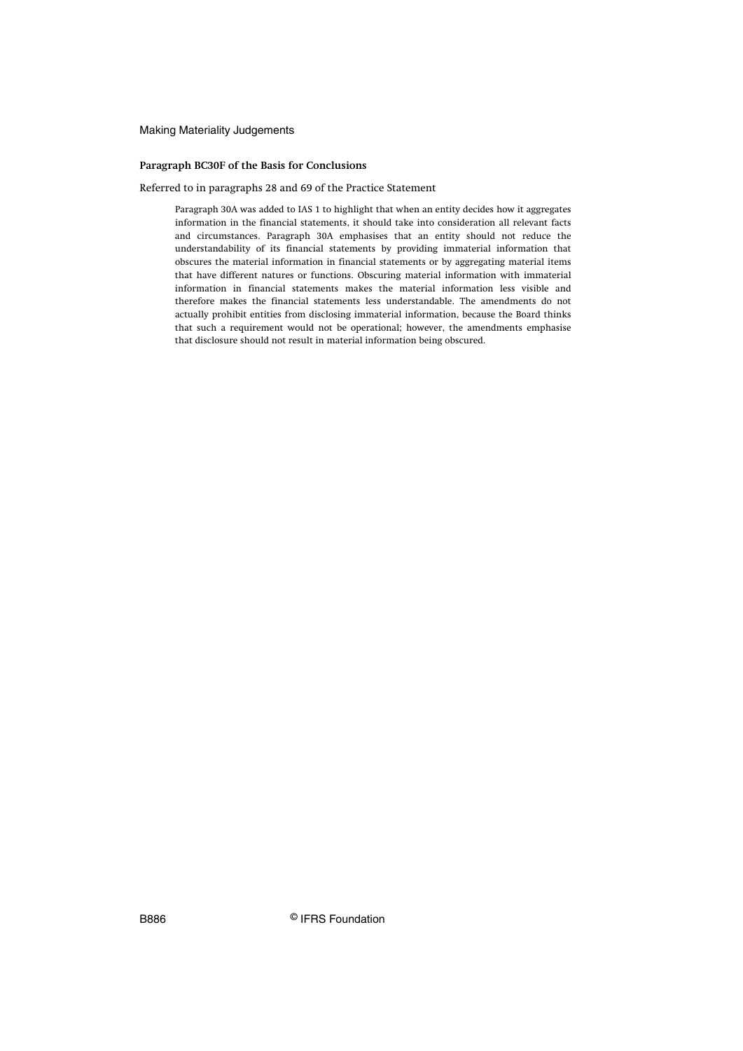### **Paragraph BC30F of the Basis for Conclusions**

Referred to in paragraphs 28 and 69 of the Practice Statement

Paragraph 30A was added to IAS 1 to highlight that when an entity decides how it aggregates information in the financial statements, it should take into consideration all relevant facts and circumstances. Paragraph 30A emphasises that an entity should not reduce the understandability of its financial statements by providing immaterial information that obscures the material information in financial statements or by aggregating material items that have different natures or functions. Obscuring material information with immaterial information in financial statements makes the material information less visible and therefore makes the financial statements less understandable. The amendments do not actually prohibit entities from disclosing immaterial information, because the Board thinks that such a requirement would not be operational; however, the amendments emphasise that disclosure should not result in material information being obscured.

B886 **CONFIDENTIAL CONTRACT B886 CONFIDENT CONFIDENT CONFIDENT CONFIDENT CONFIDENT CONFIDENT CONFIDENT**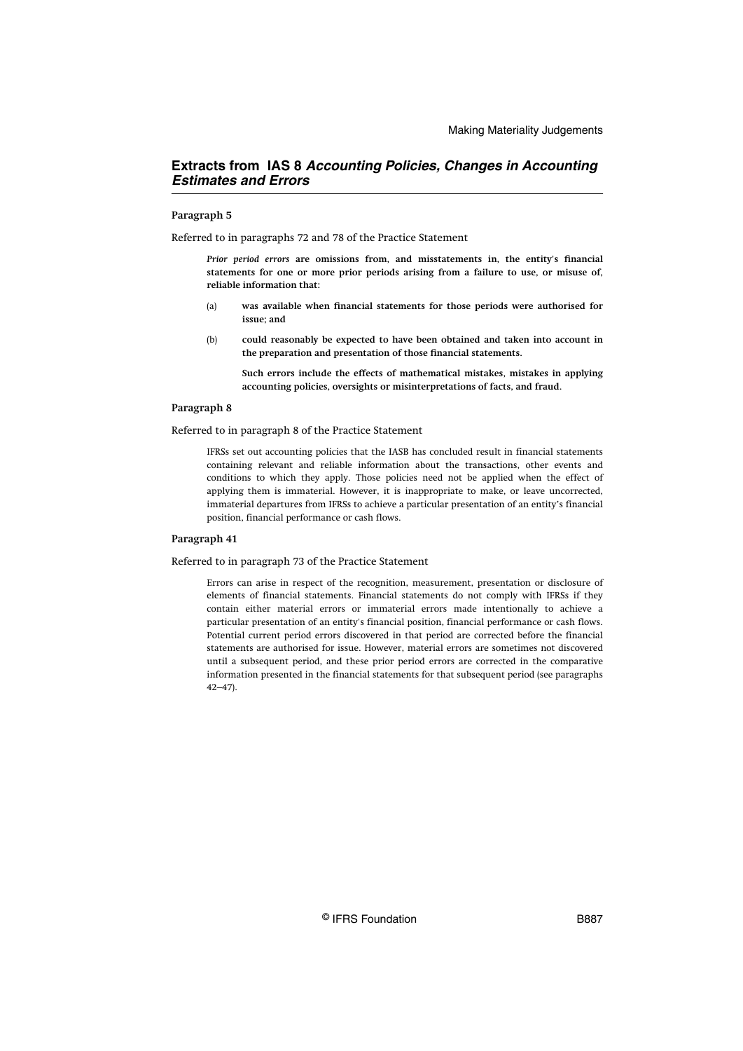# **Extracts from IAS 8 Accounting Policies, Changes in Accounting Estimates and Errors**

# **Paragraph 5**

Referred to in [paragraphs 72](#page-25-0) and 78 of the Practice Statement

*Prior period errors* **are omissions from, and misstatements in, the entity's financial statements for one or more prior periods arising from a failure to use, or misuse of, reliable information that:**

- (a) **was available when financial statements for those periods were authorised for issue; and**
- (b) **could reasonably be expected to have been obtained and taken into account in the preparation and presentation of those financial statements.**

**Such errors include the effects of mathematical mistakes, mistakes in applying accounting policies, oversights or misinterpretations of facts, and fraud.**

### **Paragraph 8**

Referred to in [paragraph 8](#page-5-0) of the Practice Statement

IFRSs set out accounting policies that the IASB has concluded result in financial statements containing relevant and reliable information about the transactions, other events and conditions to which they apply. Those policies need not be applied when the effect of applying them is immaterial. However, it is inappropriate to make, or leave uncorrected, immaterial departures from IFRSs to achieve a particular presentation of an entity's financial position, financial performance or cash flows.

#### **Paragraph 41**

Referred to in paragraph 73 of the Practice Statement

Errors can arise in respect of the recognition, measurement, presentation or disclosure of elements of financial statements. Financial statements do not comply with IFRSs if they contain either material errors or immaterial errors made intentionally to achieve a particular presentation of an entity's financial position, financial performance or cash flows. Potential current period errors discovered in that period are corrected before the financial statements are authorised for issue. However, material errors are sometimes not discovered until a subsequent period, and these prior period errors are corrected in the comparative information presented in the financial statements for that subsequent period (see paragraphs 42–47).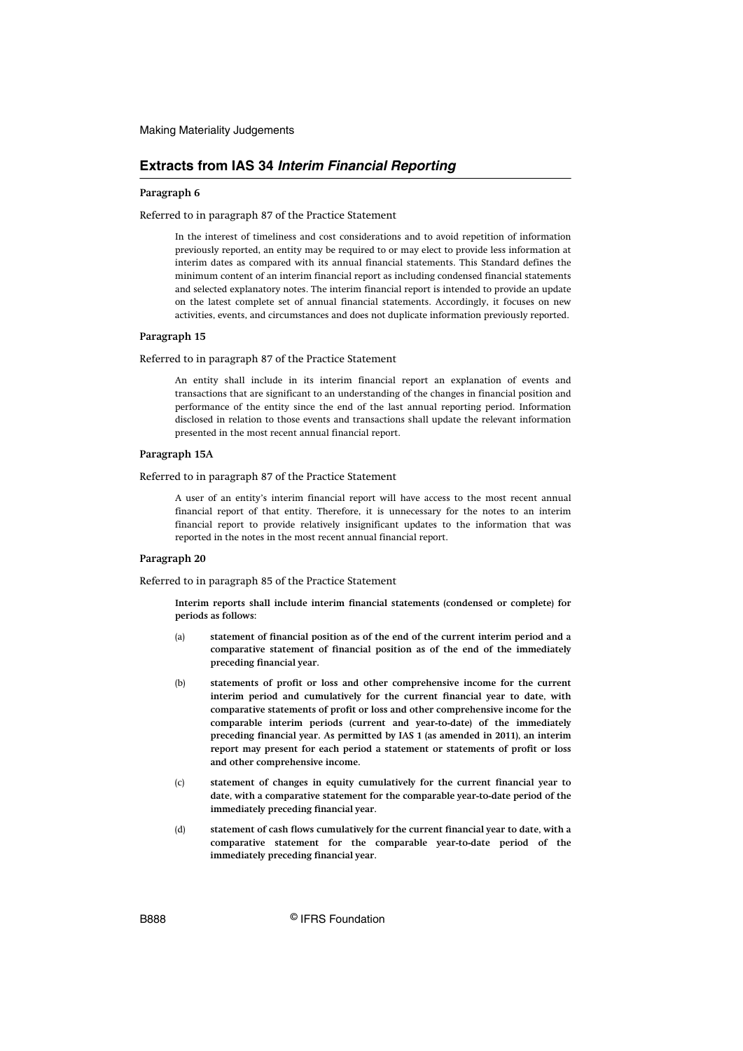# **Extracts from IAS 34 Interim Financial Reporting**

#### **Paragraph 6**

Referred to in paragraph 87 of the Practice Statement

In the interest of timeliness and cost considerations and to avoid repetition of information previously reported, an entity may be required to or may elect to provide less information at interim dates as compared with its annual financial statements. This Standard defines the minimum content of an interim financial report as including condensed financial statements and selected explanatory notes. The interim financial report is intended to provide an update on the latest complete set of annual financial statements. Accordingly, it focuses on new activities, events, and circumstances and does not duplicate information previously reported.

#### **Paragraph 15**

Referred to in paragraph 87 of the Practice Statement

An entity shall include in its interim financial report an explanation of events and transactions that are significant to an understanding of the changes in financial position and performance of the entity since the end of the last annual reporting period. Information disclosed in relation to those events and transactions shall update the relevant information presented in the most recent annual financial report.

#### **Paragraph 15A**

Referred to in paragraph 87 of the Practice Statement

A user of an entity's interim financial report will have access to the most recent annual financial report of that entity. Therefore, it is unnecessary for the notes to an interim financial report to provide relatively insignificant updates to the information that was reported in the notes in the most recent annual financial report.

#### **Paragraph 20**

Referred to in paragraph 85 of the Practice Statement

**Interim reports shall include interim financial statements (condensed or complete) for periods as follows:**

- (a) **statement of financial position as of the end of the current interim period and a comparative statement of financial position as of the end of the immediately preceding financial year.**
- (b) **statements of profit or loss and other comprehensive income for the current interim period and cumulatively for the current financial year to date, with comparative statements of profit or loss and other comprehensive income for the comparable interim periods (current and year‑to‑date) of the immediately preceding financial year. As permitted by IAS 1 (as amended in 2011), an interim report may present for each period a statement or statements of profit or loss and other comprehensive income.**
- (c) **statement of changes in equity cumulatively for the current financial year to date, with a comparative statement for the comparable year‑to‑date period of the immediately preceding financial year.**
- (d) **statement of cash flows cumulatively for the current financial year to date, with a comparative statement for the comparable year‑to‑date period of the immediately preceding financial year.**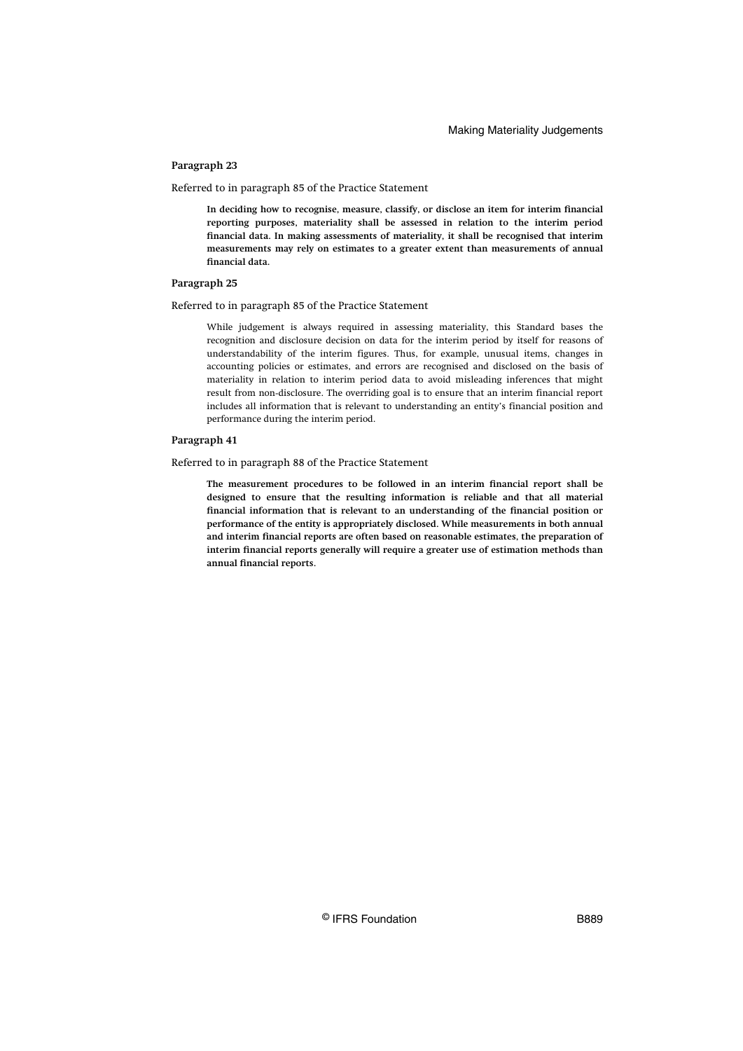# **Paragraph 23**

Referred to in paragraph 85 of the Practice Statement

**In deciding how to recognise, measure, classify, or disclose an item for interim financial reporting purposes, materiality shall be assessed in relation to the interim period financial data. In making assessments of materiality, it shall be recognised that interim measurements may rely on estimates to a greater extent than measurements of annual financial data.**

#### **Paragraph 25**

Referred to in paragraph 85 of the Practice Statement

While judgement is always required in assessing materiality, this Standard bases the recognition and disclosure decision on data for the interim period by itself for reasons of understandability of the interim figures. Thus, for example, unusual items, changes in accounting policies or estimates, and errors are recognised and disclosed on the basis of materiality in relation to interim period data to avoid misleading inferences that might result from non‑disclosure. The overriding goal is to ensure that an interim financial report includes all information that is relevant to understanding an entity's financial position and performance during the interim period.

#### **Paragraph 41**

Referred to in [paragraph 88](#page-33-0) of the Practice Statement

**The measurement procedures to be followed in an interim financial report shall be designed to ensure that the resulting information is reliable and that all material financial information that is relevant to an understanding of the financial position or performance of the entity is appropriately disclosed. While measurements in both annual and interim financial reports are often based on reasonable estimates, the preparation of interim financial reports generally will require a greater use of estimation methods than annual financial reports.**